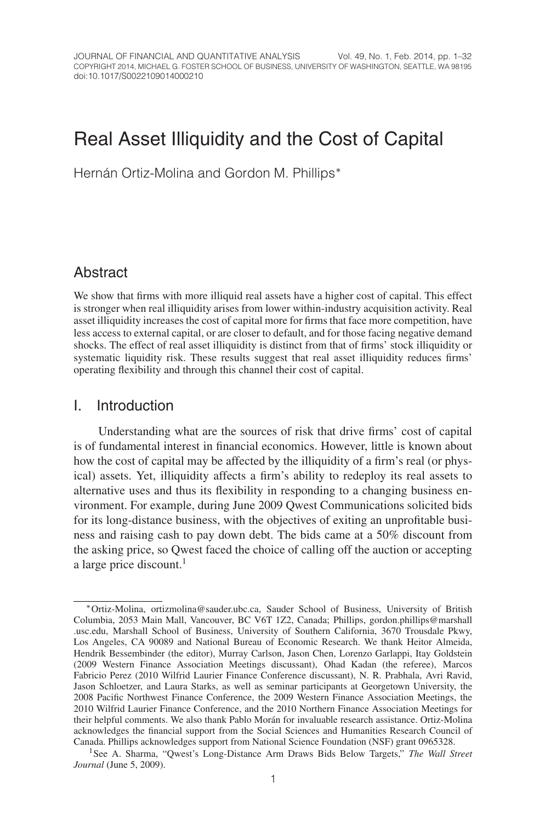# Real Asset Illiquidity and the Cost of Capital

Hernán Ortiz-Molina and Gordon M. Phillips<sup>\*</sup>

# Abstract

We show that firms with more illiquid real assets have a higher cost of capital. This effect is stronger when real illiquidity arises from lower within-industry acquisition activity. Real asset illiquidity increases the cost of capital more for firms that face more competition, have less access to external capital, or are closer to default, and for those facing negative demand shocks. The effect of real asset illiquidity is distinct from that of firms' stock illiquidity or systematic liquidity risk. These results suggest that real asset illiquidity reduces firms' operating flexibility and through this channel their cost of capital.

# I. Introduction

Understanding what are the sources of risk that drive firms' cost of capital is of fundamental interest in financial economics. However, little is known about how the cost of capital may be affected by the illiquidity of a firm's real (or physical) assets. Yet, illiquidity affects a firm's ability to redeploy its real assets to alternative uses and thus its flexibility in responding to a changing business environment. For example, during June 2009 Qwest Communications solicited bids for its long-distance business, with the objectives of exiting an unprofitable business and raising cash to pay down debt. The bids came at a 50% discount from the asking price, so Qwest faced the choice of calling off the auction or accepting a large price discount. $<sup>1</sup>$ </sup>

<sup>∗</sup>Ortiz-Molina, ortizmolina@sauder.ubc.ca, Sauder School of Business, University of British Columbia, 2053 Main Mall, Vancouver, BC V6T 1Z2, Canada; Phillips, gordon.phillips@marshall .usc.edu, Marshall School of Business, University of Southern California, 3670 Trousdale Pkwy, Los Angeles, CA 90089 and National Bureau of Economic Research. We thank Heitor Almeida, Hendrik Bessembinder (the editor), Murray Carlson, Jason Chen, Lorenzo Garlappi, Itay Goldstein (2009 Western Finance Association Meetings discussant), Ohad Kadan (the referee), Marcos Fabricio Perez (2010 Wilfrid Laurier Finance Conference discussant), N. R. Prabhala, Avri Ravid, Jason Schloetzer, and Laura Starks, as well as seminar participants at Georgetown University, the 2008 Pacific Northwest Finance Conference, the 2009 Western Finance Association Meetings, the 2010 Wilfrid Laurier Finance Conference, and the 2010 Northern Finance Association Meetings for their helpful comments. We also thank Pablo Moran for invaluable research assistance. Ortiz-Molina ´ acknowledges the financial support from the Social Sciences and Humanities Research Council of Canada. Phillips acknowledges support from National Science Foundation (NSF) grant 0965328.

<sup>1</sup>See A. Sharma, "Qwest's Long-Distance Arm Draws Bids Below Targets," *The Wall Street Journal* (June 5, 2009).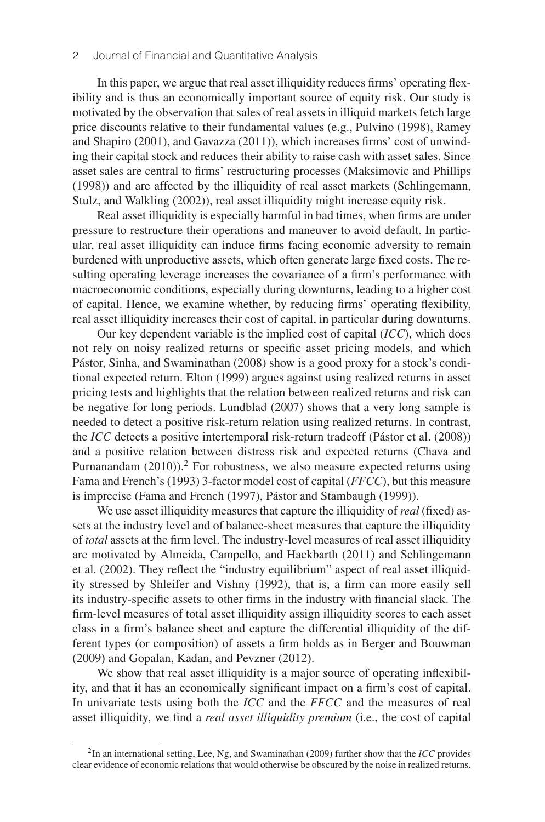In this paper, we argue that real asset illiquidity reduces firms' operating flexibility and is thus an economically important source of equity risk. Our study is motivated by the observation that sales of real assets in illiquid markets fetch large price discounts relative to their fundamental values (e.g., Pulvino (1998), Ramey and Shapiro (2001), and Gavazza (2011)), which increases firms' cost of unwinding their capital stock and reduces their ability to raise cash with asset sales. Since asset sales are central to firms' restructuring processes (Maksimovic and Phillips (1998)) and are affected by the illiquidity of real asset markets (Schlingemann, Stulz, and Walkling (2002)), real asset illiquidity might increase equity risk.

Real asset illiquidity is especially harmful in bad times, when firms are under pressure to restructure their operations and maneuver to avoid default. In particular, real asset illiquidity can induce firms facing economic adversity to remain burdened with unproductive assets, which often generate large fixed costs. The resulting operating leverage increases the covariance of a firm's performance with macroeconomic conditions, especially during downturns, leading to a higher cost of capital. Hence, we examine whether, by reducing firms' operating flexibility, real asset illiquidity increases their cost of capital, in particular during downturns.

Our key dependent variable is the implied cost of capital (*ICC*), which does not rely on noisy realized returns or specific asset pricing models, and which Pástor, Sinha, and Swaminathan (2008) show is a good proxy for a stock's conditional expected return. Elton (1999) argues against using realized returns in asset pricing tests and highlights that the relation between realized returns and risk can be negative for long periods. Lundblad (2007) shows that a very long sample is needed to detect a positive risk-return relation using realized returns. In contrast, the *ICC* detects a positive intertemporal risk-return tradeoff (Pástor et al. (2008)) and a positive relation between distress risk and expected returns (Chava and Purnanandam  $(2010)$ .<sup>2</sup> For robustness, we also measure expected returns using Fama and French's (1993) 3-factor model cost of capital (*FFCC*), but this measure is imprecise (Fama and French (1997), Pástor and Stambaugh (1999)).

We use asset illiquidity measures that capture the illiquidity of *real* (fixed) assets at the industry level and of balance-sheet measures that capture the illiquidity of *total* assets at the firm level. The industry-level measures of real asset illiquidity are motivated by Almeida, Campello, and Hackbarth (2011) and Schlingemann et al. (2002). They reflect the "industry equilibrium" aspect of real asset illiquidity stressed by Shleifer and Vishny (1992), that is, a firm can more easily sell its industry-specific assets to other firms in the industry with financial slack. The firm-level measures of total asset illiquidity assign illiquidity scores to each asset class in a firm's balance sheet and capture the differential illiquidity of the different types (or composition) of assets a firm holds as in Berger and Bouwman (2009) and Gopalan, Kadan, and Pevzner (2012).

We show that real asset illiquidity is a major source of operating inflexibility, and that it has an economically significant impact on a firm's cost of capital. In univariate tests using both the *ICC* and the *FFCC* and the measures of real asset illiquidity, we find a *real asset illiquidity premium* (i.e., the cost of capital

<sup>2</sup>In an international setting, Lee, Ng, and Swaminathan (2009) further show that the *ICC* provides clear evidence of economic relations that would otherwise be obscured by the noise in realized returns.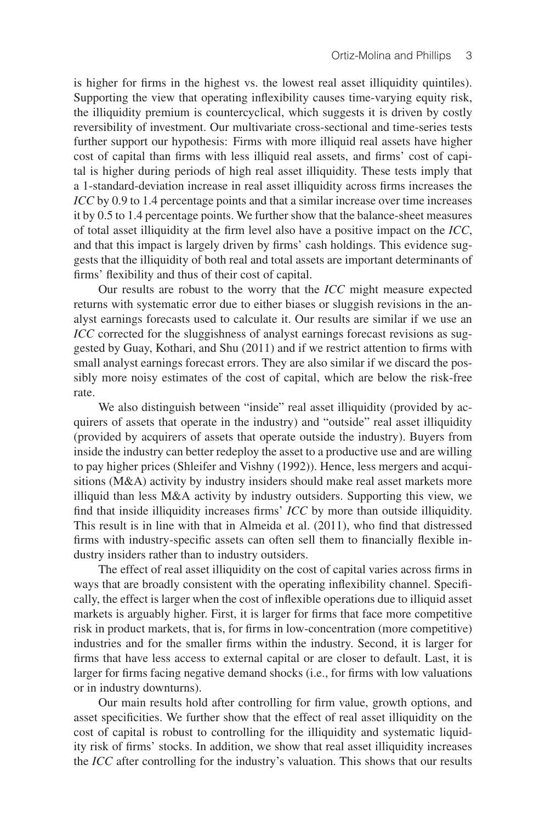is higher for firms in the highest vs. the lowest real asset illiquidity quintiles). Supporting the view that operating inflexibility causes time-varying equity risk, the illiquidity premium is countercyclical, which suggests it is driven by costly reversibility of investment. Our multivariate cross-sectional and time-series tests further support our hypothesis: Firms with more illiquid real assets have higher cost of capital than firms with less illiquid real assets, and firms' cost of capital is higher during periods of high real asset illiquidity. These tests imply that a 1-standard-deviation increase in real asset illiquidity across firms increases the *ICC* by 0.9 to 1.4 percentage points and that a similar increase over time increases it by 0.5 to 1.4 percentage points. We further show that the balance-sheet measures of total asset illiquidity at the firm level also have a positive impact on the *ICC*, and that this impact is largely driven by firms' cash holdings. This evidence suggests that the illiquidity of both real and total assets are important determinants of firms' flexibility and thus of their cost of capital.

Our results are robust to the worry that the *ICC* might measure expected returns with systematic error due to either biases or sluggish revisions in the analyst earnings forecasts used to calculate it. Our results are similar if we use an *ICC* corrected for the sluggishness of analyst earnings forecast revisions as suggested by Guay, Kothari, and Shu (2011) and if we restrict attention to firms with small analyst earnings forecast errors. They are also similar if we discard the possibly more noisy estimates of the cost of capital, which are below the risk-free rate.

We also distinguish between "inside" real asset illiquidity (provided by acquirers of assets that operate in the industry) and "outside" real asset illiquidity (provided by acquirers of assets that operate outside the industry). Buyers from inside the industry can better redeploy the asset to a productive use and are willing to pay higher prices (Shleifer and Vishny (1992)). Hence, less mergers and acquisitions (M&A) activity by industry insiders should make real asset markets more illiquid than less M&A activity by industry outsiders. Supporting this view, we find that inside illiquidity increases firms' *ICC* by more than outside illiquidity. This result is in line with that in Almeida et al. (2011), who find that distressed firms with industry-specific assets can often sell them to financially flexible industry insiders rather than to industry outsiders.

The effect of real asset illiquidity on the cost of capital varies across firms in ways that are broadly consistent with the operating inflexibility channel. Specifically, the effect is larger when the cost of inflexible operations due to illiquid asset markets is arguably higher. First, it is larger for firms that face more competitive risk in product markets, that is, for firms in low-concentration (more competitive) industries and for the smaller firms within the industry. Second, it is larger for firms that have less access to external capital or are closer to default. Last, it is larger for firms facing negative demand shocks (i.e., for firms with low valuations or in industry downturns).

Our main results hold after controlling for firm value, growth options, and asset specificities. We further show that the effect of real asset illiquidity on the cost of capital is robust to controlling for the illiquidity and systematic liquidity risk of firms' stocks. In addition, we show that real asset illiquidity increases the *ICC* after controlling for the industry's valuation. This shows that our results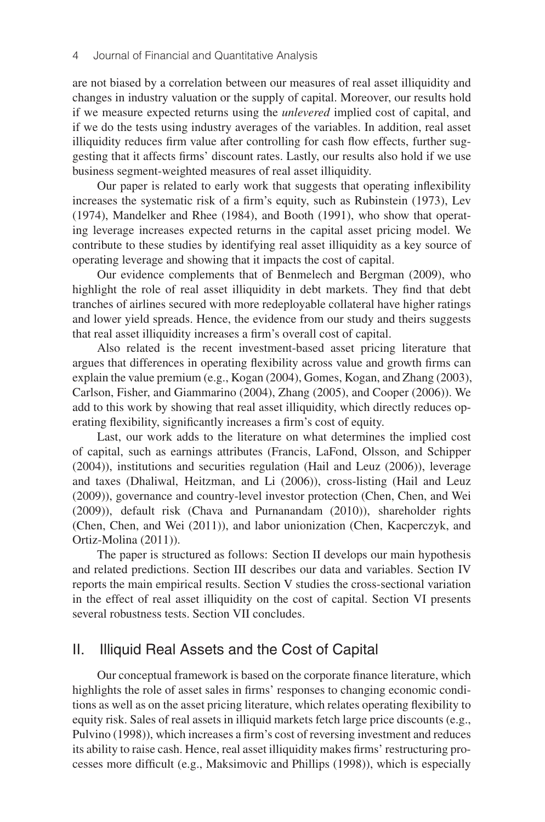are not biased by a correlation between our measures of real asset illiquidity and changes in industry valuation or the supply of capital. Moreover, our results hold if we measure expected returns using the *unlevered* implied cost of capital, and if we do the tests using industry averages of the variables. In addition, real asset illiquidity reduces firm value after controlling for cash flow effects, further suggesting that it affects firms' discount rates. Lastly, our results also hold if we use business segment-weighted measures of real asset illiquidity.

Our paper is related to early work that suggests that operating inflexibility increases the systematic risk of a firm's equity, such as Rubinstein (1973), Lev (1974), Mandelker and Rhee (1984), and Booth (1991), who show that operating leverage increases expected returns in the capital asset pricing model. We contribute to these studies by identifying real asset illiquidity as a key source of operating leverage and showing that it impacts the cost of capital.

Our evidence complements that of Benmelech and Bergman (2009), who highlight the role of real asset illiquidity in debt markets. They find that debt tranches of airlines secured with more redeployable collateral have higher ratings and lower yield spreads. Hence, the evidence from our study and theirs suggests that real asset illiquidity increases a firm's overall cost of capital.

Also related is the recent investment-based asset pricing literature that argues that differences in operating flexibility across value and growth firms can explain the value premium (e.g., Kogan (2004), Gomes, Kogan, and Zhang (2003), Carlson, Fisher, and Giammarino (2004), Zhang (2005), and Cooper (2006)). We add to this work by showing that real asset illiquidity, which directly reduces operating flexibility, significantly increases a firm's cost of equity.

Last, our work adds to the literature on what determines the implied cost of capital, such as earnings attributes (Francis, LaFond, Olsson, and Schipper (2004)), institutions and securities regulation (Hail and Leuz (2006)), leverage and taxes (Dhaliwal, Heitzman, and Li (2006)), cross-listing (Hail and Leuz (2009)), governance and country-level investor protection (Chen, Chen, and Wei (2009)), default risk (Chava and Purnanandam (2010)), shareholder rights (Chen, Chen, and Wei (2011)), and labor unionization (Chen, Kacperczyk, and Ortiz-Molina (2011)).

The paper is structured as follows: Section II develops our main hypothesis and related predictions. Section III describes our data and variables. Section IV reports the main empirical results. Section V studies the cross-sectional variation in the effect of real asset illiquidity on the cost of capital. Section VI presents several robustness tests. Section VII concludes.

# II. Illiquid Real Assets and the Cost of Capital

Our conceptual framework is based on the corporate finance literature, which highlights the role of asset sales in firms' responses to changing economic conditions as well as on the asset pricing literature, which relates operating flexibility to equity risk. Sales of real assets in illiquid markets fetch large price discounts (e.g., Pulvino (1998)), which increases a firm's cost of reversing investment and reduces its ability to raise cash. Hence, real asset illiquidity makes firms' restructuring processes more difficult (e.g., Maksimovic and Phillips (1998)), which is especially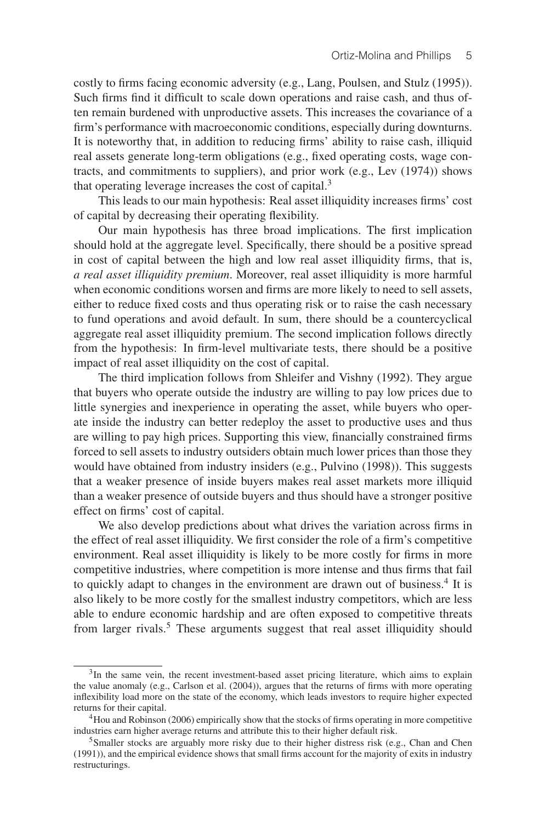costly to firms facing economic adversity (e.g., Lang, Poulsen, and Stulz (1995)). Such firms find it difficult to scale down operations and raise cash, and thus often remain burdened with unproductive assets. This increases the covariance of a firm's performance with macroeconomic conditions, especially during downturns. It is noteworthy that, in addition to reducing firms' ability to raise cash, illiquid real assets generate long-term obligations (e.g., fixed operating costs, wage contracts, and commitments to suppliers), and prior work (e.g., Lev (1974)) shows that operating leverage increases the cost of capital.3

This leads to our main hypothesis: Real asset illiquidity increases firms' cost of capital by decreasing their operating flexibility.

Our main hypothesis has three broad implications. The first implication should hold at the aggregate level. Specifically, there should be a positive spread in cost of capital between the high and low real asset illiquidity firms, that is, *a real asset illiquidity premium*. Moreover, real asset illiquidity is more harmful when economic conditions worsen and firms are more likely to need to sell assets, either to reduce fixed costs and thus operating risk or to raise the cash necessary to fund operations and avoid default. In sum, there should be a countercyclical aggregate real asset illiquidity premium. The second implication follows directly from the hypothesis: In firm-level multivariate tests, there should be a positive impact of real asset illiquidity on the cost of capital.

The third implication follows from Shleifer and Vishny (1992). They argue that buyers who operate outside the industry are willing to pay low prices due to little synergies and inexperience in operating the asset, while buyers who operate inside the industry can better redeploy the asset to productive uses and thus are willing to pay high prices. Supporting this view, financially constrained firms forced to sell assets to industry outsiders obtain much lower prices than those they would have obtained from industry insiders (e.g., Pulvino (1998)). This suggests that a weaker presence of inside buyers makes real asset markets more illiquid than a weaker presence of outside buyers and thus should have a stronger positive effect on firms' cost of capital.

We also develop predictions about what drives the variation across firms in the effect of real asset illiquidity. We first consider the role of a firm's competitive environment. Real asset illiquidity is likely to be more costly for firms in more competitive industries, where competition is more intense and thus firms that fail to quickly adapt to changes in the environment are drawn out of business.4 It is also likely to be more costly for the smallest industry competitors, which are less able to endure economic hardship and are often exposed to competitive threats from larger rivals.<sup>5</sup> These arguments suggest that real asset illiquidity should

 $3$ In the same vein, the recent investment-based asset pricing literature, which aims to explain the value anomaly (e.g., Carlson et al. (2004)), argues that the returns of firms with more operating inflexibility load more on the state of the economy, which leads investors to require higher expected returns for their capital.

<sup>&</sup>lt;sup>4</sup>Hou and Robinson (2006) empirically show that the stocks of firms operating in more competitive industries earn higher average returns and attribute this to their higher default risk.

<sup>5</sup>Smaller stocks are arguably more risky due to their higher distress risk (e.g., Chan and Chen (1991)), and the empirical evidence shows that small firms account for the majority of exits in industry restructurings.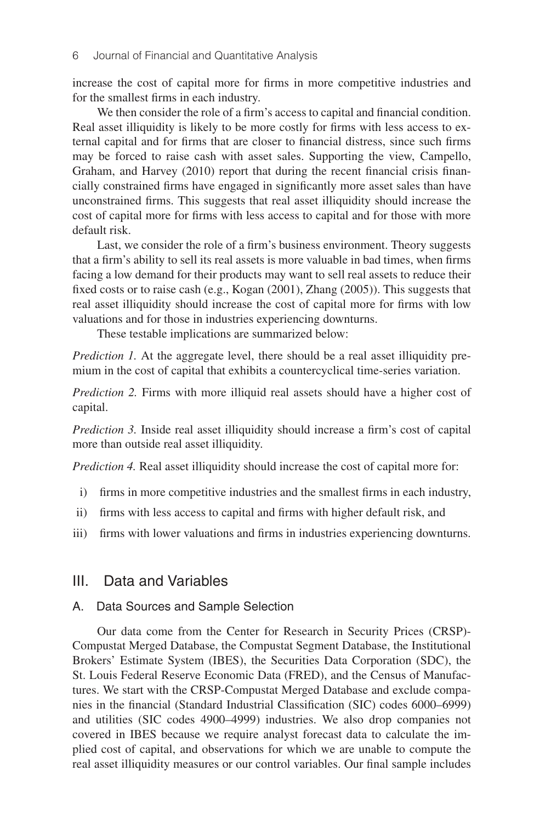increase the cost of capital more for firms in more competitive industries and for the smallest firms in each industry.

We then consider the role of a firm's access to capital and financial condition. Real asset illiquidity is likely to be more costly for firms with less access to external capital and for firms that are closer to financial distress, since such firms may be forced to raise cash with asset sales. Supporting the view, Campello, Graham, and Harvey (2010) report that during the recent financial crisis financially constrained firms have engaged in significantly more asset sales than have unconstrained firms. This suggests that real asset illiquidity should increase the cost of capital more for firms with less access to capital and for those with more default risk.

Last, we consider the role of a firm's business environment. Theory suggests that a firm's ability to sell its real assets is more valuable in bad times, when firms facing a low demand for their products may want to sell real assets to reduce their fixed costs or to raise cash (e.g., Kogan (2001), Zhang (2005)). This suggests that real asset illiquidity should increase the cost of capital more for firms with low valuations and for those in industries experiencing downturns.

These testable implications are summarized below:

*Prediction 1.* At the aggregate level, there should be a real asset illiquidity premium in the cost of capital that exhibits a countercyclical time-series variation.

*Prediction 2.* Firms with more illiquid real assets should have a higher cost of capital.

*Prediction 3.* Inside real asset illiquidity should increase a firm's cost of capital more than outside real asset illiquidity.

*Prediction 4.* Real asset illiquidity should increase the cost of capital more for:

- i) firms in more competitive industries and the smallest firms in each industry,
- ii) firms with less access to capital and firms with higher default risk, and
- iii) firms with lower valuations and firms in industries experiencing downturns.

## III. Data and Variables

## A. Data Sources and Sample Selection

Our data come from the Center for Research in Security Prices (CRSP)- Compustat Merged Database, the Compustat Segment Database, the Institutional Brokers' Estimate System (IBES), the Securities Data Corporation (SDC), the St. Louis Federal Reserve Economic Data (FRED), and the Census of Manufactures. We start with the CRSP-Compustat Merged Database and exclude companies in the financial (Standard Industrial Classification (SIC) codes 6000–6999) and utilities (SIC codes 4900–4999) industries. We also drop companies not covered in IBES because we require analyst forecast data to calculate the implied cost of capital, and observations for which we are unable to compute the real asset illiquidity measures or our control variables. Our final sample includes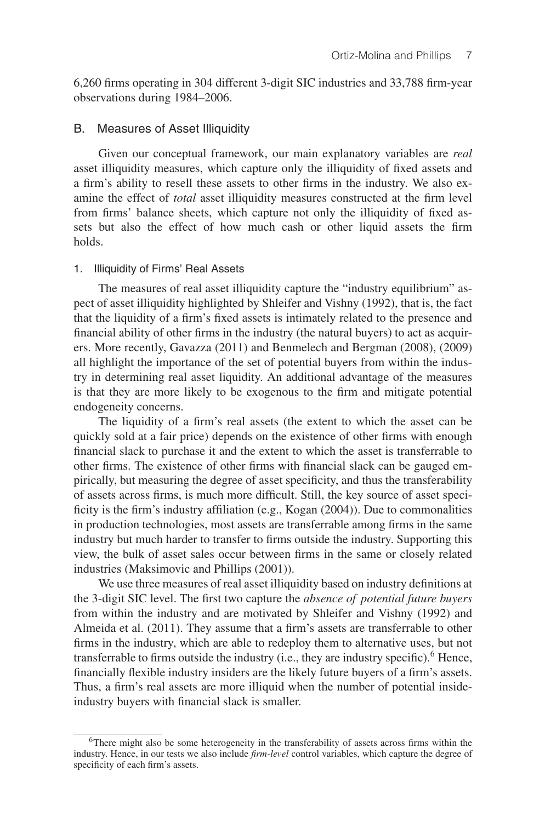6,260 firms operating in 304 different 3-digit SIC industries and 33,788 firm-year observations during 1984–2006.

## B. Measures of Asset Illiquidity

Given our conceptual framework, our main explanatory variables are *real* asset illiquidity measures, which capture only the illiquidity of fixed assets and a firm's ability to resell these assets to other firms in the industry. We also examine the effect of *total* asset illiquidity measures constructed at the firm level from firms' balance sheets, which capture not only the illiquidity of fixed assets but also the effect of how much cash or other liquid assets the firm holds.

## 1. Illiquidity of Firms' Real Assets

The measures of real asset illiquidity capture the "industry equilibrium" aspect of asset illiquidity highlighted by Shleifer and Vishny (1992), that is, the fact that the liquidity of a firm's fixed assets is intimately related to the presence and financial ability of other firms in the industry (the natural buyers) to act as acquirers. More recently, Gavazza (2011) and Benmelech and Bergman (2008), (2009) all highlight the importance of the set of potential buyers from within the industry in determining real asset liquidity. An additional advantage of the measures is that they are more likely to be exogenous to the firm and mitigate potential endogeneity concerns.

The liquidity of a firm's real assets (the extent to which the asset can be quickly sold at a fair price) depends on the existence of other firms with enough financial slack to purchase it and the extent to which the asset is transferrable to other firms. The existence of other firms with financial slack can be gauged empirically, but measuring the degree of asset specificity, and thus the transferability of assets across firms, is much more difficult. Still, the key source of asset specificity is the firm's industry affiliation (e.g., Kogan (2004)). Due to commonalities in production technologies, most assets are transferrable among firms in the same industry but much harder to transfer to firms outside the industry. Supporting this view, the bulk of asset sales occur between firms in the same or closely related industries (Maksimovic and Phillips (2001)).

We use three measures of real asset illiquidity based on industry definitions at the 3-digit SIC level. The first two capture the *absence of potential future buyers* from within the industry and are motivated by Shleifer and Vishny (1992) and Almeida et al. (2011). They assume that a firm's assets are transferrable to other firms in the industry, which are able to redeploy them to alternative uses, but not transferrable to firms outside the industry (i.e., they are industry specific).<sup>6</sup> Hence, financially flexible industry insiders are the likely future buyers of a firm's assets. Thus, a firm's real assets are more illiquid when the number of potential insideindustry buyers with financial slack is smaller.

<sup>&</sup>lt;sup>6</sup>There might also be some heterogeneity in the transferability of assets across firms within the industry. Hence, in our tests we also include *firm-level* control variables, which capture the degree of specificity of each firm's assets.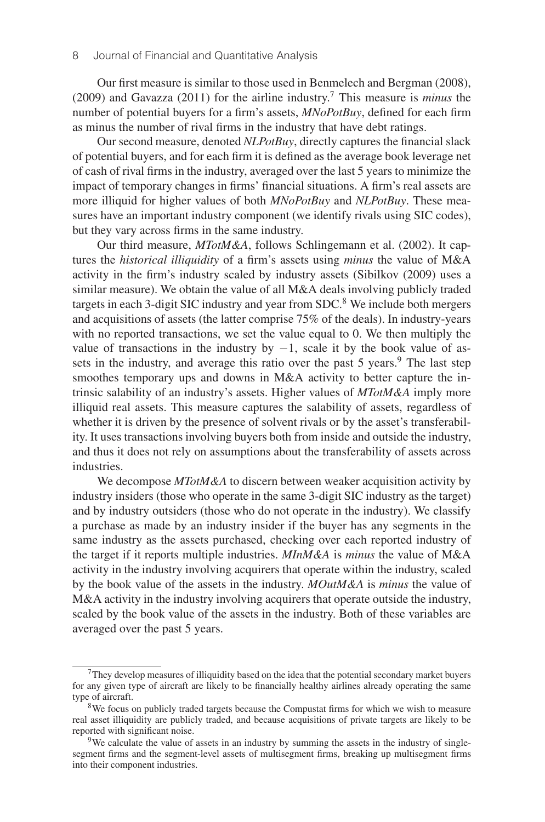Our first measure is similar to those used in Benmelech and Bergman (2008), (2009) and Gavazza (2011) for the airline industry.7 This measure is *minus* the number of potential buyers for a firm's assets, *MNoPotBuy*, defined for each firm as minus the number of rival firms in the industry that have debt ratings.

Our second measure, denoted *NLPotBuy*, directly captures the financial slack of potential buyers, and for each firm it is defined as the average book leverage net of cash of rival firms in the industry, averaged over the last 5 years to minimize the impact of temporary changes in firms' financial situations. A firm's real assets are more illiquid for higher values of both *MNoPotBuy* and *NLPotBuy*. These measures have an important industry component (we identify rivals using SIC codes), but they vary across firms in the same industry.

Our third measure, *MTotM&A*, follows Schlingemann et al. (2002). It captures the *historical illiquidity* of a firm's assets using *minus* the value of M&A activity in the firm's industry scaled by industry assets (Sibilkov (2009) uses a similar measure). We obtain the value of all M&A deals involving publicly traded targets in each 3-digit SIC industry and year from  $SDC<sup>8</sup>$  We include both mergers and acquisitions of assets (the latter comprise 75% of the deals). In industry-years with no reported transactions, we set the value equal to 0. We then multiply the value of transactions in the industry by  $-1$ , scale it by the book value of assets in the industry, and average this ratio over the past  $5$  years.<sup>9</sup> The last step smoothes temporary ups and downs in M&A activity to better capture the intrinsic salability of an industry's assets. Higher values of *MTotM&A* imply more illiquid real assets. This measure captures the salability of assets, regardless of whether it is driven by the presence of solvent rivals or by the asset's transferability. It uses transactions involving buyers both from inside and outside the industry, and thus it does not rely on assumptions about the transferability of assets across industries.

We decompose *MTotM&A* to discern between weaker acquisition activity by industry insiders (those who operate in the same 3-digit SIC industry as the target) and by industry outsiders (those who do not operate in the industry). We classify a purchase as made by an industry insider if the buyer has any segments in the same industry as the assets purchased, checking over each reported industry of the target if it reports multiple industries. *MInM&A* is *minus* the value of M&A activity in the industry involving acquirers that operate within the industry, scaled by the book value of the assets in the industry. *MOutM&A* is *minus* the value of M&A activity in the industry involving acquirers that operate outside the industry, scaled by the book value of the assets in the industry. Both of these variables are averaged over the past 5 years.

 $7$ They develop measures of illiquidity based on the idea that the potential secondary market buyers for any given type of aircraft are likely to be financially healthy airlines already operating the same type of aircraft.

<sup>&</sup>lt;sup>8</sup>We focus on publicly traded targets because the Compustat firms for which we wish to measure real asset illiquidity are publicly traded, and because acquisitions of private targets are likely to be reported with significant noise.

<sup>&</sup>lt;sup>9</sup>We calculate the value of assets in an industry by summing the assets in the industry of singlesegment firms and the segment-level assets of multisegment firms, breaking up multisegment firms into their component industries.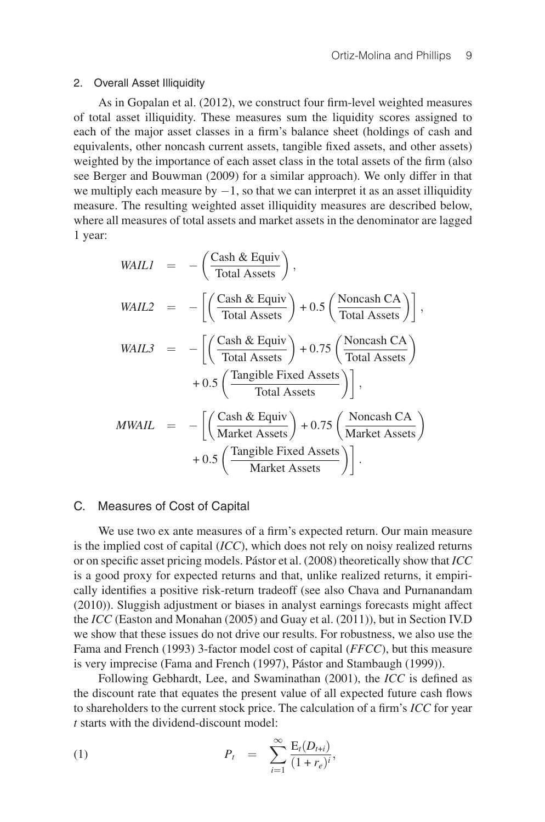#### 2. Overall Asset Illiquidity

As in Gopalan et al. (2012), we construct four firm-level weighted measures of total asset illiquidity. These measures sum the liquidity scores assigned to each of the major asset classes in a firm's balance sheet (holdings of cash and equivalents, other noncash current assets, tangible fixed assets, and other assets) weighted by the importance of each asset class in the total assets of the firm (also see Berger and Bouwman (2009) for a similar approach). We only differ in that we multiply each measure by  $-1$ , so that we can interpret it as an asset illiquidity measure. The resulting weighted asset illiquidity measures are described below, where all measures of total assets and market assets in the denominator are lagged 1 year:

$$
WAIL1 = -\left(\frac{\text{Cash & Equiv}}{\text{Total Assets}}\right),
$$
\n
$$
WAIL2 = -\left[\left(\frac{\text{Cash & Equiv}}{\text{Total Assets}}\right) + 0.5\left(\frac{\text{Noncash CA}}{\text{Total Assets}}\right)\right],
$$
\n
$$
WAIL3 = -\left[\left(\frac{\text{Cash & Equiv}}{\text{Total Assets}}\right) + 0.75\left(\frac{\text{Noncash CA}}{\text{Total Assets}}\right) + 0.5\left(\frac{\text{Tangible Fixed Assets}}{\text{Total Assets}}\right)\right],
$$
\n
$$
MWAIL = -\left[\left(\frac{\text{Cash & Equiv}}{\text{Market Assets}}\right) + 0.75\left(\frac{\text{Noncash CA}}{\text{Market Assets}}\right) + 0.5\left(\frac{\text{Tangible Fixed Assets}}{\text{Market Assets}}\right)\right].
$$

## C. Measures of Cost of Capital

We use two ex ante measures of a firm's expected return. Our main measure is the implied cost of capital (*ICC*), which does not rely on noisy realized returns or on specific asset pricing models. Pastor et al. (2008) theoretically show that *ICC* is a good proxy for expected returns and that, unlike realized returns, it empirically identifies a positive risk-return tradeoff (see also Chava and Purnanandam (2010)). Sluggish adjustment or biases in analyst earnings forecasts might affect the *ICC* (Easton and Monahan (2005) and Guay et al. (2011)), but in Section IV.D we show that these issues do not drive our results. For robustness, we also use the Fama and French (1993) 3-factor model cost of capital (*FFCC*), but this measure is very imprecise (Fama and French (1997), Pástor and Stambaugh (1999)).

Following Gebhardt, Lee, and Swaminathan (2001), the *ICC* is defined as the discount rate that equates the present value of all expected future cash flows to shareholders to the current stock price. The calculation of a firm's *ICC* for year *t* starts with the dividend-discount model:

(1) 
$$
P_t = \sum_{i=1}^{\infty} \frac{E_t(D_{t+i})}{(1+r_e)^i},
$$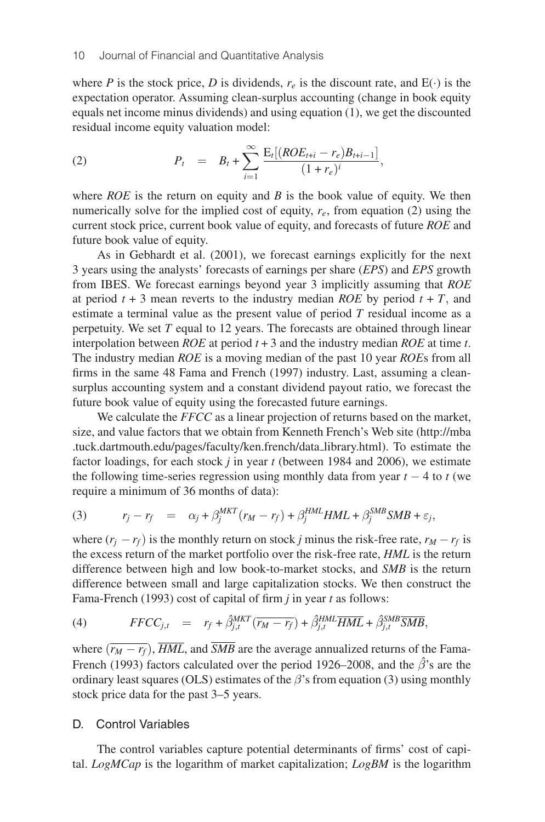where *P* is the stock price, *D* is dividends,  $r_e$  is the discount rate, and  $E(\cdot)$  is the expectation operator. Assuming clean-surplus accounting (change in book equity equals net income minus dividends) and using equation (1), we get the discounted residual income equity valuation model:

(2) 
$$
P_t = B_t + \sum_{i=1}^{\infty} \frac{E_t[(ROE_{t+i} - r_e)B_{t+i-1}]}{(1 + r_e)^i},
$$

where *ROE* is the return on equity and *B* is the book value of equity. We then numerically solve for the implied cost of equity, *re*, from equation (2) using the current stock price, current book value of equity, and forecasts of future *ROE* and future book value of equity.

As in Gebhardt et al. (2001), we forecast earnings explicitly for the next 3 years using the analysts' forecasts of earnings per share (*EPS*) and *EPS* growth from IBES. We forecast earnings beyond year 3 implicitly assuming that *ROE* at period  $t + 3$  mean reverts to the industry median *ROE* by period  $t + T$ , and estimate a terminal value as the present value of period *T* residual income as a perpetuity. We set *T* equal to 12 years. The forecasts are obtained through linear interpolation between *ROE* at period *t* + 3 and the industry median *ROE* at time *t*. The industry median *ROE* is a moving median of the past 10 year *ROE*s from all firms in the same 48 Fama and French (1997) industry. Last, assuming a cleansurplus accounting system and a constant dividend payout ratio, we forecast the future book value of equity using the forecasted future earnings.

We calculate the *FFCC* as a linear projection of returns based on the market, size, and value factors that we obtain from Kenneth French's Web site (http://mba .tuck.dartmouth.edu/pages/faculty/ken.french/data library.html). To estimate the factor loadings, for each stock *j* in year *t* (between 1984 and 2006), we estimate the following time-series regression using monthly data from year *t* − 4 to *t* (we require a minimum of 36 months of data):

(3) 
$$
r_j - r_f = \alpha_j + \beta_j^{MKT} (r_M - r_f) + \beta_j^{HML} HML + \beta_j^{SMB} SMB + \varepsilon_j,
$$

where  $(r_i - r_f)$  is the monthly return on stock *j* minus the risk-free rate,  $r_M - r_f$  is the excess return of the market portfolio over the risk-free rate, *HML* is the return difference between high and low book-to-market stocks, and *SMB* is the return difference between small and large capitalization stocks. We then construct the Fama-French (1993) cost of capital of firm *j* in year *t* as follows:

(4) 
$$
FFCC_{j,t} = r_f + \hat{\beta}_{j,t}^{MKT} (\overline{r_M - r_f}) + \hat{\beta}_{j,t}^{HML} \overline{HML} + \hat{\beta}_{j,t}^{SMB} \overline{SMB},
$$

where  $(\overline{r_M - r_f})$ ,  $\overline{HML}$ , and  $\overline{SMB}$  are the average annualized returns of the Fama-French (1993) factors calculated over the period 1926–2008, and the β*ˆ*'s are the ordinary least squares (OLS) estimates of the  $\beta$ 's from equation (3) using monthly stock price data for the past 3–5 years.

## D. Control Variables

The control variables capture potential determinants of firms' cost of capital. *LogMCap* is the logarithm of market capitalization; *LogBM* is the logarithm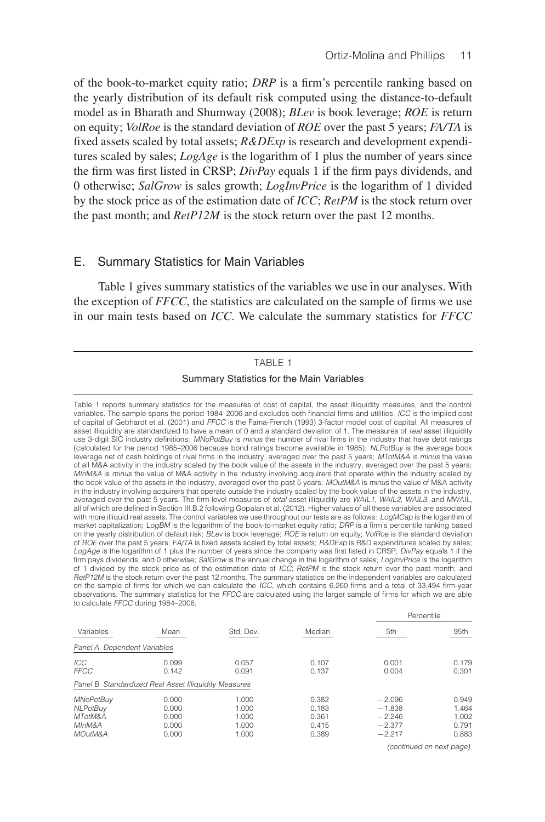of the book-to-market equity ratio; *DRP* is a firm's percentile ranking based on the yearly distribution of its default risk computed using the distance-to-default model as in Bharath and Shumway (2008); *BLev* is book leverage; *ROE* is return on equity; *VolRoe* is the standard deviation of *ROE* over the past 5 years; *FA/TA* is fixed assets scaled by total assets; *R&DExp* is research and development expenditures scaled by sales; *LogAge* is the logarithm of 1 plus the number of years since the firm was first listed in CRSP; *DivPay* equals 1 if the firm pays dividends, and 0 otherwise; *SalGrow* is sales growth; *LogInvPrice* is the logarithm of 1 divided by the stock price as of the estimation date of *ICC*; *RetPM* is the stock return over the past month; and *RetP12M* is the stock return over the past 12 months.

## E. Summary Statistics for Main Variables

Table 1 gives summary statistics of the variables we use in our analyses. With the exception of *FFCC*, the statistics are calculated on the sample of firms we use in our main tests based on *ICC*. We calculate the summary statistics for *FFCC*

#### TABLE 1

## Summary Statistics for the Main Variables

Table 1 reports summary statistics for the measures of cost of capital, the asset illiquidity measures, and the control variables. The sample spans the period 1984–2006 and excludes both financial firms and utilities. ICC is the implied cost of capital of Gebhardt et al. (2001) and FFCC is the Fama-French (1993) 3-factor model cost of capital. All measures of asset illiquidity are standardized to have a mean of 0 and a standard deviation of 1. The measures of real asset illiquidity use 3-digit SIC industry definitions: MNoPotBuy is minus the number of rival firms in the industry that have debt ratings (calculated for the period 1985–2006 because bond ratings become available in 1985); NLPotBuy is the average book leverage net of cash holdings of rival firms in the industry, averaged over the past 5 years; MTotM&A is minus the value of all M&A activity in the industry scaled by the book value of the assets in the industry, averaged over the past 5 years; MInM&A is minus the value of M&A activity in the industry involving acquirers that operate within the industry scaled by the book value of the assets in the industry, averaged over the past 5 years; MOutM&A is minus the value of M&A activity in the industry involving acquirers that operate outside the industry scaled by the book value of the assets in the industry, averaged over the past 5 years. The firm-level measures of total asset illiquidity are WAIL1, WAIL2, WAIL3, and MWAIL, all of which are defined in Section III.B.2 following Gopalan et al. (2012). Higher values of all these variables are associated with more illiquid real assets. The control variables we use throughout our tests are as follows: LogMCap is the logarithm of market capitalization; LogBM is the logarithm of the book-to-market equity ratio; DRP is a firm's percentile ranking based on the yearly distribution of default risk; BLev is book leverage; ROE is return on equity; VolRoe is the standard deviation of ROE over the past 5 years; FA/TA is fixed assets scaled by total assets; R&DExp is R&D expenditures scaled by sales; LogAge is the logarithm of 1 plus the number of years since the company was first listed in CRSP; DivPay equals 1 if the firm pays dividends, and 0 otherwise; SalGrow is the annual change in the logarithm of sales; Log*lnvPrice* is the logarithm<br>of 1 divided by the stock price as of the estimation date of *ICC*; *RetPM* is the stock return o RetP12M is the stock return over the past 12 months. The summary statistics on the independent variables are calculated on the sample of firms for which we can calculate the ICC, which contains 6,260 firms and a total of 33,494 firm-year observations. The summary statistics for the FFCC are calculated using the larger sample of firms for which we are able to calculate FFCC during 1984–2006.

|                                                                     |                                                       |                                           |                                           | Percentile                                               |                                           |
|---------------------------------------------------------------------|-------------------------------------------------------|-------------------------------------------|-------------------------------------------|----------------------------------------------------------|-------------------------------------------|
| Variables                                                           | Mean                                                  | Std. Dev.                                 | Median                                    | 5th                                                      | 95th                                      |
| Panel A. Dependent Variables                                        |                                                       |                                           |                                           |                                                          |                                           |
| ICC<br><b>FFCC</b>                                                  | 0.099<br>0.142                                        | 0.057<br>0.091                            | 0.107<br>0.137                            | 0.001<br>0.004                                           | 0.179<br>0.301                            |
|                                                                     | Panel B. Standardized Real Asset Illiquidity Measures |                                           |                                           |                                                          |                                           |
| <b>MNoPotBuy</b><br><b>NLPotBuy</b><br>MTotM&A<br>MInM&A<br>MOutM&A | 0.000<br>0.000<br>0.000<br>0.000<br>0.000             | 1.000<br>1.000<br>1.000<br>1.000<br>1.000 | 0.382<br>0.183<br>0.361<br>0.415<br>0.389 | $-2.096$<br>$-1.838$<br>$-2.246$<br>$-2.377$<br>$-2.217$ | 0.949<br>1.464<br>1.002<br>0.791<br>0.883 |

(continued on next page)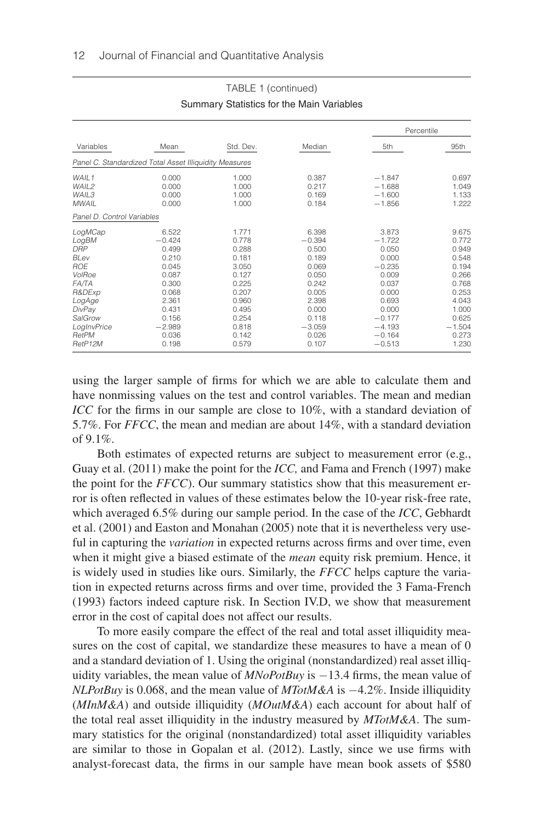| <b>Dammary Dianones for the Main Vanapics</b>                                                                                                       |                                                                                                                                  |                                                                                                                            |                                                                                                                                  |                                                                                                                                              |                                                                                                                               |  |  |  |
|-----------------------------------------------------------------------------------------------------------------------------------------------------|----------------------------------------------------------------------------------------------------------------------------------|----------------------------------------------------------------------------------------------------------------------------|----------------------------------------------------------------------------------------------------------------------------------|----------------------------------------------------------------------------------------------------------------------------------------------|-------------------------------------------------------------------------------------------------------------------------------|--|--|--|
|                                                                                                                                                     |                                                                                                                                  |                                                                                                                            |                                                                                                                                  | Percentile                                                                                                                                   |                                                                                                                               |  |  |  |
| Variables                                                                                                                                           | Mean                                                                                                                             | Std. Dev.                                                                                                                  | Median                                                                                                                           | 5th                                                                                                                                          | 95th                                                                                                                          |  |  |  |
|                                                                                                                                                     | Panel C. Standardized Total Asset Illiquidity Measures                                                                           |                                                                                                                            |                                                                                                                                  |                                                                                                                                              |                                                                                                                               |  |  |  |
| WAIL <sub>1</sub><br>WAIL <sub>2</sub><br>WAIL3<br><b>MWAIL</b>                                                                                     | 0.000<br>0.000<br>0.000<br>0.000                                                                                                 | 1.000<br>1.000<br>1.000<br>1.000                                                                                           | 0.387<br>0.217<br>0.169<br>0.184                                                                                                 | $-1.847$<br>$-1.688$<br>$-1.600$<br>$-1.856$                                                                                                 | 0.697<br>1.049<br>1.133<br>1.222                                                                                              |  |  |  |
| Panel D. Control Variables                                                                                                                          |                                                                                                                                  |                                                                                                                            |                                                                                                                                  |                                                                                                                                              |                                                                                                                               |  |  |  |
| LogMCap<br>LogBM<br><b>DRP</b><br>BLev<br>ROE<br>VolRoe<br><b>FA/TA</b><br>R&DExp<br>LogAge<br>DivPay<br>SalGrow<br>LogInvPrice<br>RetPM<br>RetP12M | 6.522<br>$-0.424$<br>0.499<br>0.210<br>0.045<br>0.087<br>0.300<br>0.068<br>2.361<br>0.431<br>0.156<br>$-2.989$<br>0.036<br>0.198 | 1.771<br>0.778<br>0.288<br>0.181<br>3.050<br>0.127<br>0.225<br>0.207<br>0.960<br>0.495<br>0.254<br>0.818<br>0.142<br>0.579 | 6.398<br>$-0.394$<br>0.500<br>0.189<br>0.069<br>0.050<br>0.242<br>0.005<br>2.398<br>0.000<br>0.118<br>$-3.059$<br>0.026<br>0.107 | 3.873<br>$-1.722$<br>0.050<br>0.000<br>$-0.235$<br>0.009<br>0.037<br>0.000<br>0.693<br>0.000<br>$-0.177$<br>$-4.193$<br>$-0.164$<br>$-0.513$ | 9.675<br>0.772<br>0.949<br>0.548<br>0.194<br>0.266<br>0.768<br>0.253<br>4.043<br>1.000<br>0.625<br>$-1.504$<br>0.273<br>1.230 |  |  |  |

# TABLE 1 (continued) Summary Statistics for the Main Variables

using the larger sample of firms for which we are able to calculate them and have nonmissing values on the test and control variables. The mean and median *ICC* for the firms in our sample are close to 10%, with a standard deviation of 5.7%. For *FFCC*, the mean and median are about 14%, with a standard deviation of 9.1%.

Both estimates of expected returns are subject to measurement error (e.g., Guay et al. (2011) make the point for the *ICC,* and Fama and French (1997) make the point for the *FFCC*). Our summary statistics show that this measurement error is often reflected in values of these estimates below the 10-year risk-free rate, which averaged 6.5% during our sample period. In the case of the *ICC*, Gebhardt et al. (2001) and Easton and Monahan (2005) note that it is nevertheless very useful in capturing the *variation* in expected returns across firms and over time, even when it might give a biased estimate of the *mean* equity risk premium. Hence, it is widely used in studies like ours. Similarly, the *FFCC* helps capture the variation in expected returns across firms and over time, provided the 3 Fama-French (1993) factors indeed capture risk. In Section IV.D, we show that measurement error in the cost of capital does not affect our results.

To more easily compare the effect of the real and total asset illiquidity measures on the cost of capital, we standardize these measures to have a mean of 0 and a standard deviation of 1. Using the original (nonstandardized) real asset illiquidity variables, the mean value of *MNoPotBuy* is −13.4 firms, the mean value of *NLPotBuy* is 0.068, and the mean value of *MTotM&A* is −4.2%. Inside illiquidity (*MInM&A*) and outside illiquidity (*MOutM&A*) each account for about half of the total real asset illiquidity in the industry measured by *MTotM&A*. The summary statistics for the original (nonstandardized) total asset illiquidity variables are similar to those in Gopalan et al. (2012). Lastly, since we use firms with analyst-forecast data, the firms in our sample have mean book assets of \$580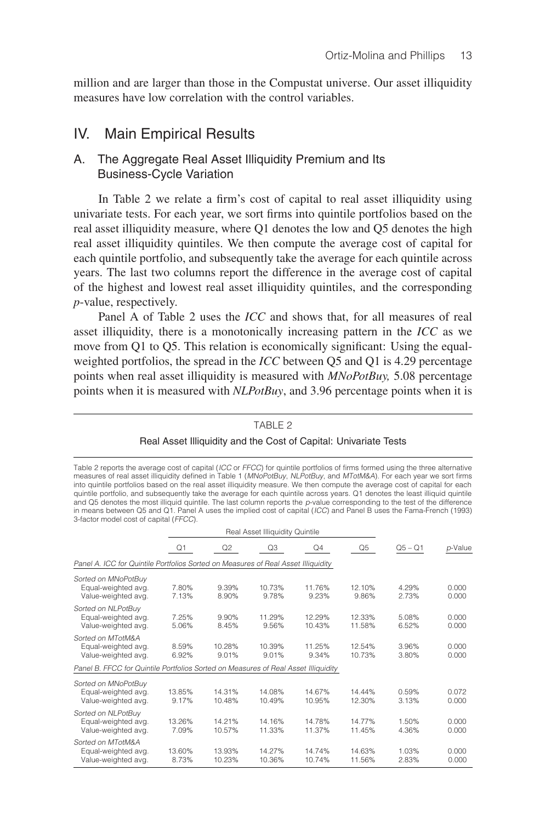million and are larger than those in the Compustat universe. Our asset illiquidity measures have low correlation with the control variables.

# IV. Main Empirical Results

Value-weighted avg.

## A. The Aggregate Real Asset Illiquidity Premium and Its Business-Cycle Variation

In Table 2 we relate a firm's cost of capital to real asset illiquidity using univariate tests. For each year, we sort firms into quintile portfolios based on the real asset illiquidity measure, where Q1 denotes the low and Q5 denotes the high real asset illiquidity quintiles. We then compute the average cost of capital for each quintile portfolio, and subsequently take the average for each quintile across years. The last two columns report the difference in the average cost of capital of the highest and lowest real asset illiquidity quintiles, and the corresponding *p*-value, respectively.

Panel A of Table 2 uses the *ICC* and shows that, for all measures of real asset illiquidity, there is a monotonically increasing pattern in the *ICC* as we move from Q1 to Q5. This relation is economically significant: Using the equalweighted portfolios, the spread in the *ICC* between Q5 and Q1 is 4.29 percentage points when real asset illiquidity is measured with *MNoPotBuy,* 5.08 percentage points when it is measured with *NLPotBuy*, and 3.96 percentage points when it is

|                                                                                                                                                                                                                                                                                                                                                                                                                                                                                                                                                                                                                                                                                                                                                                                                                    |                 |                  |                                       | Real Asset Illiquidity and the Cost of Capital: Univariate Tests |                  |                |                |
|--------------------------------------------------------------------------------------------------------------------------------------------------------------------------------------------------------------------------------------------------------------------------------------------------------------------------------------------------------------------------------------------------------------------------------------------------------------------------------------------------------------------------------------------------------------------------------------------------------------------------------------------------------------------------------------------------------------------------------------------------------------------------------------------------------------------|-----------------|------------------|---------------------------------------|------------------------------------------------------------------|------------------|----------------|----------------|
| Table 2 reports the average cost of capital (ICC or FFCC) for quintile portfolios of firms formed using the three alternative<br>measures of real asset illiquidity defined in Table 1 (MNoPotBuy, NLPotBuy, and MTotM&A). For each year we sort firms<br>into quintile portfolios based on the real asset illiquidity measure. We then compute the average cost of capital for each<br>quintile portfolio, and subsequently take the average for each quintile across years. Q1 denotes the least illiquid quintile<br>and Q5 denotes the most illiquid quintile. The last column reports the p-value corresponding to the test of the difference<br>in means between Q5 and Q1. Panel A uses the implied cost of capital (ICC) and Panel B uses the Fama-French (1993)<br>3-factor model cost of capital (FFCC). |                 |                  |                                       |                                                                  |                  |                |                |
|                                                                                                                                                                                                                                                                                                                                                                                                                                                                                                                                                                                                                                                                                                                                                                                                                    | Q1              | Q2               | Real Asset Illiquidity Quintile<br>Q3 | Q4                                                               | Q5               |                | p-Value        |
|                                                                                                                                                                                                                                                                                                                                                                                                                                                                                                                                                                                                                                                                                                                                                                                                                    |                 |                  |                                       |                                                                  |                  | $Q5 - Q1$      |                |
| Panel A. ICC for Quintile Portfolios Sorted on Measures of Real Asset Illiquidity                                                                                                                                                                                                                                                                                                                                                                                                                                                                                                                                                                                                                                                                                                                                  |                 |                  |                                       |                                                                  |                  |                |                |
| Sorted on MNoPotBuy<br>Equal-weighted avg.<br>Value-weighted avg.                                                                                                                                                                                                                                                                                                                                                                                                                                                                                                                                                                                                                                                                                                                                                  | 7.80%<br>7.13%  | 9.39%<br>8.90%   | 10.73%<br>9.78%                       | 11.76%<br>9.23%                                                  | 12.10%<br>9.86%  | 4.29%<br>2.73% | 0.000<br>0.000 |
| Sorted on NLPotBuv<br>Equal-weighted avg.<br>Value-weighted avg.                                                                                                                                                                                                                                                                                                                                                                                                                                                                                                                                                                                                                                                                                                                                                   | 7.25%<br>5.06%  | 9.90%<br>8.45%   | 11.29%<br>9.56%                       | 12.29%<br>10.43%                                                 | 12.33%<br>11.58% | 5.08%<br>6.52% | 0.000<br>0.000 |
| Sorted on MTotM&A<br>Equal-weighted avg.<br>Value-weighted avg.                                                                                                                                                                                                                                                                                                                                                                                                                                                                                                                                                                                                                                                                                                                                                    | 8.59%<br>6.92%  | 10.28%<br>9.01%  | 10.39%<br>9.01%                       | 11.25%<br>9.34%                                                  | 12.54%<br>10.73% | 3.96%<br>3.80% | 0.000<br>0.000 |
| Panel B. FFCC for Quintile Portfolios Sorted on Measures of Real Asset Illiquidity                                                                                                                                                                                                                                                                                                                                                                                                                                                                                                                                                                                                                                                                                                                                 |                 |                  |                                       |                                                                  |                  |                |                |
| Sorted on MNoPotBuy<br>Equal-weighted avg.<br>Value-weighted avg.                                                                                                                                                                                                                                                                                                                                                                                                                                                                                                                                                                                                                                                                                                                                                  | 13.85%<br>9.17% | 14.31%<br>10.48% | 14.08%<br>10.49%                      | 14.67%<br>10.95%                                                 | 14.44%<br>12.30% | 0.59%<br>3.13% | 0.072<br>0.000 |
| Sorted on NLPotBuy<br>Equal-weighted avg.<br>Value-weighted avg.                                                                                                                                                                                                                                                                                                                                                                                                                                                                                                                                                                                                                                                                                                                                                   | 13.26%<br>7.09% | 14.21%<br>10.57% | 14.16%<br>11.33%                      | 14.78%<br>11.37%                                                 | 14.77%<br>11.45% | 1.50%<br>4.36% | 0.000<br>0.000 |
| Sorted on MTotM&A<br>Equal-weighted avg.<br>Value-weighted avg.                                                                                                                                                                                                                                                                                                                                                                                                                                                                                                                                                                                                                                                                                                                                                    | 13.60%<br>8.73% | 13.93%<br>10.23% | 14.27%<br>10.36%                      | 14.74%<br>10.74%                                                 | 14.63%<br>11.56% | 1.03%<br>2.83% | 0.000<br>0.000 |

# TABLE<sub>2</sub>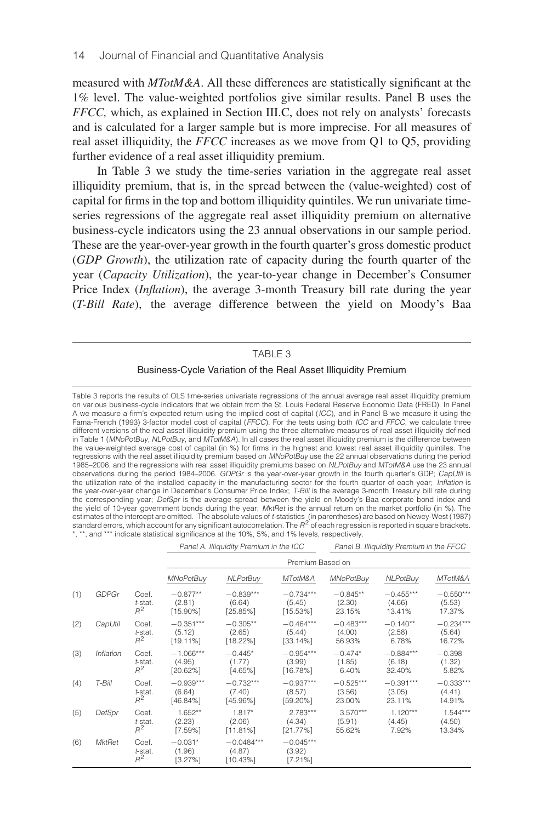measured with *MTotM&A*. All these differences are statistically significant at the 1% level. The value-weighted portfolios give similar results. Panel B uses the *FFCC,* which, as explained in Section III.C, does not rely on analysts' forecasts and is calculated for a larger sample but is more imprecise. For all measures of real asset illiquidity, the *FFCC* increases as we move from Q1 to Q5, providing further evidence of a real asset illiquidity premium.

In Table 3 we study the time-series variation in the aggregate real asset illiquidity premium, that is, in the spread between the (value-weighted) cost of capital for firms in the top and bottom illiquidity quintiles. We run univariate timeseries regressions of the aggregate real asset illiquidity premium on alternative business-cycle indicators using the 23 annual observations in our sample period. These are the year-over-year growth in the fourth quarter's gross domestic product (*GDP Growth*), the utilization rate of capacity during the fourth quarter of the year (*Capacity Utilization*), the year-to-year change in December's Consumer Price Index (*Inflation*), the average 3-month Treasury bill rate during the year (*T-Bill Rate*), the average difference between the yield on Moody's Baa

#### TABLE 3

#### Business-Cycle Variation of the Real Asset Illiquidity Premium

Table 3 reports the results of OLS time-series univariate regressions of the annual average real asset illiquidity premium on various business-cycle indicators that we obtain from the St. Louis Federal Reserve Economic Data (FRED). In Panel A we measure a firm's expected return using the implied cost of capital (ICC), and in Panel B we measure it using the Fama-French (1993) 3-factor model cost of capital (FFCC). For the tests using both ICC and FFCC, we calculate three different versions of the real asset illiquidity premium using the three alternative measures of real asset illiquidity defined in Table 1 (MNoPotBuy, NLPotBuy, and MTotM&A). In all cases the real asset illiquidity premium is the difference between the value-weighted average cost of capital (in %) for firms in the highest and lowest real asset illiquidity quintiles. The regressions with the real asset illiquidity premium based on MNoPotBuy use the 22 annual observations during the period 1985–2006, and the regressions with real asset illiquidity premiums based on NLPotBuy and MTotM&A use the 23 annual observations during the period 1984–2006. GDPGr is the year-over-year growth in the fourth quarter's GDP; CapUtil is the utilization rate of the installed capacity in the manufacturing sector for the fourth quarter of each year; Inflation is the year-over-year change in December's Consumer Price Index; T-Bill is the average 3-month Treasury bill rate during the corresponding year; DefSpr is the average spread between the yield on Moody's Baa corporate bond index and the yield of 10-year government bonds during the year; MktRet is the annual return on the market portfolio (in %). The estimates of the intercept are omitted. The absolute values of *t*-statistics (in parentheses) are based on Newey-West (1987)<br>standard errors, which account for any significant autocorrelation. The R<sup>2</sup> of each regression \*, \*\*, and \*\*\* indicate statistical significance at the 10%, 5%, and 1% levels, respectively.

| Panel A. Illiquidity Premium in the ICC | Panel B. Illiquidity Premium in the FFCC |
|-----------------------------------------|------------------------------------------|

|     |               |                           | Premium Based on                     |                                       |                                      |                                 |                                 |                                 |
|-----|---------------|---------------------------|--------------------------------------|---------------------------------------|--------------------------------------|---------------------------------|---------------------------------|---------------------------------|
|     |               |                           | <b>MNoPotBuy</b>                     | NLPotBuy                              | MTotM&A                              | <b>MNoPotBuy</b>                | <b>NLPotBuy</b>                 | MTotM&A                         |
| (1) | GDPGr         | Coef.<br>t-stat.<br>$R^2$ | $-0.877**$<br>(2.81)<br>$[15.90\%]$  | $-0.839***$<br>(6.64)<br>[25.85%]     | $-0.734***$<br>(5.45)<br>$[15.53\%]$ | $-0.845**$<br>(2.30)<br>23.15%  | $-0.455***$<br>(4.66)<br>13.41% | $-0.550***$<br>(5.53)<br>17.37% |
| (2) | CapUtil       | Coef.<br>t-stat.<br>$R^2$ | $-0.351***$<br>(5.12)<br>$[19.11\%]$ | $-0.305**$<br>(2.65)<br>$[18.22\%]$   | $-0.464***$<br>(5.44)<br>$[33.14\%]$ | $-0.483***$<br>(4.00)<br>56.93% | $-0.140**$<br>(2.58)<br>6.78%   | $-0.234***$<br>(5.64)<br>16.72% |
| (3) | Inflation     | Coef.<br>t-stat.<br>$R^2$ | $-1.066***$<br>(4.95)<br>$[20.62\%]$ | $-0.445*$<br>(1.77)<br>[4.65%]        | $-0.954***$<br>(3.99)<br>$[16.78\%]$ | $-0.474*$<br>(1.85)<br>6.40%    | $-0.884***$<br>(6.18)<br>32.40% | $-0.398$<br>(1.32)<br>5.82%     |
| (4) | T-Bill        | Coef.<br>t-stat.<br>$R^2$ | $-0.939***$<br>(6.64)<br>[46.84%]    | $-0.732***$<br>(7.40)<br>[45.96%]     | $-0.937***$<br>(8.57)<br>[59.20%]    | $-0.525***$<br>(3.56)<br>23.00% | $-0.391***$<br>(3.05)<br>23.11% | $-0.333***$<br>(4.41)<br>14.91% |
| (5) | DefSpr        | Coef.<br>t-stat.<br>$R^2$ | $1.652**$<br>(2.23)<br>$[7.59\%]$    | $1.817*$<br>(2.06)<br>$[11.81\%]$     | $2.783***$<br>(4.34)<br>$[21.77\%]$  | $3.570***$<br>(5.91)<br>55.62%  | $1.120***$<br>(4.45)<br>7.92%   | $1.544***$<br>(4.50)<br>13.34%  |
| (6) | <b>MktRet</b> | Coef.<br>t-stat.<br>$R^2$ | $-0.031*$<br>(1.96)<br>[3.27%]       | $-0.0484***$<br>(4.87)<br>$[10.43\%]$ | $-0.045***$<br>(3.92)<br>$[7.21\%]$  |                                 |                                 |                                 |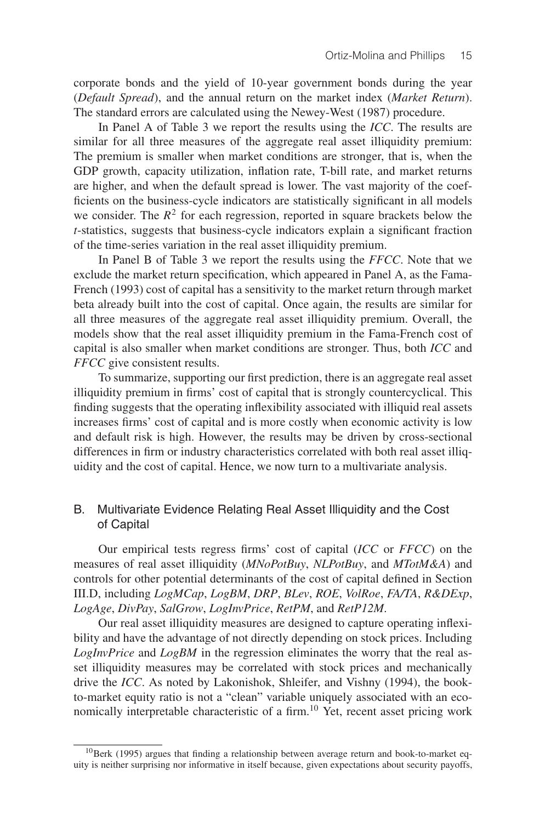corporate bonds and the yield of 10-year government bonds during the year (*Default Spread*), and the annual return on the market index (*Market Return*). The standard errors are calculated using the Newey-West (1987) procedure.

In Panel A of Table 3 we report the results using the *ICC*. The results are similar for all three measures of the aggregate real asset illiquidity premium: The premium is smaller when market conditions are stronger, that is, when the GDP growth, capacity utilization, inflation rate, T-bill rate, and market returns are higher, and when the default spread is lower. The vast majority of the coefficients on the business-cycle indicators are statistically significant in all models we consider. The  $R^2$  for each regression, reported in square brackets below the *t*-statistics, suggests that business-cycle indicators explain a significant fraction of the time-series variation in the real asset illiquidity premium.

In Panel B of Table 3 we report the results using the *FFCC*. Note that we exclude the market return specification, which appeared in Panel A, as the Fama-French (1993) cost of capital has a sensitivity to the market return through market beta already built into the cost of capital. Once again, the results are similar for all three measures of the aggregate real asset illiquidity premium. Overall, the models show that the real asset illiquidity premium in the Fama-French cost of capital is also smaller when market conditions are stronger. Thus, both *ICC* and *FFCC* give consistent results.

To summarize, supporting our first prediction, there is an aggregate real asset illiquidity premium in firms' cost of capital that is strongly countercyclical. This finding suggests that the operating inflexibility associated with illiquid real assets increases firms' cost of capital and is more costly when economic activity is low and default risk is high. However, the results may be driven by cross-sectional differences in firm or industry characteristics correlated with both real asset illiquidity and the cost of capital. Hence, we now turn to a multivariate analysis.

## B. Multivariate Evidence Relating Real Asset Illiquidity and the Cost of Capital

Our empirical tests regress firms' cost of capital (*ICC* or *FFCC*) on the measures of real asset illiquidity (*MNoPotBuy*, *NLPotBuy*, and *MTotM&A*) and controls for other potential determinants of the cost of capital defined in Section III.D, including *LogMCap*, *LogBM*, *DRP*, *BLev*, *ROE*, *VolRoe*, *FA/TA*, *R&DExp*, *LogAge*, *DivPay*, *SalGrow*, *LogInvPrice*, *RetPM*, and *RetP12M*.

Our real asset illiquidity measures are designed to capture operating inflexibility and have the advantage of not directly depending on stock prices. Including *LogInvPrice* and *LogBM* in the regression eliminates the worry that the real asset illiquidity measures may be correlated with stock prices and mechanically drive the *ICC*. As noted by Lakonishok, Shleifer, and Vishny (1994), the bookto-market equity ratio is not a "clean" variable uniquely associated with an economically interpretable characteristic of a firm.<sup>10</sup> Yet, recent asset pricing work

<sup>&</sup>lt;sup>10</sup>Berk (1995) argues that finding a relationship between average return and book-to-market equity is neither surprising nor informative in itself because, given expectations about security payoffs,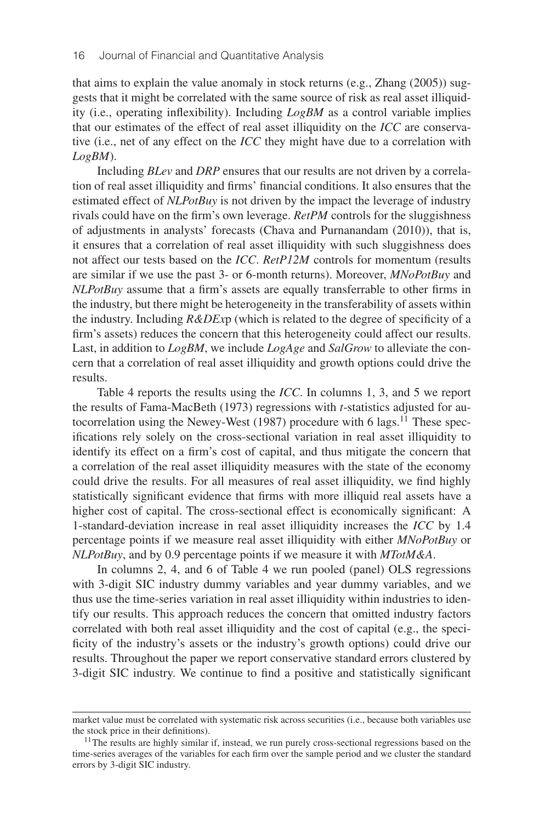that aims to explain the value anomaly in stock returns (e.g., Zhang (2005)) suggests that it might be correlated with the same source of risk as real asset illiquidity (i.e., operating inflexibility). Including *LogBM* as a control variable implies that our estimates of the effect of real asset illiquidity on the *ICC* are conservative (i.e., net of any effect on the *ICC* they might have due to a correlation with *LogBM*).

Including *BLev* and *DRP* ensures that our results are not driven by a correlation of real asset illiquidity and firms' financial conditions. It also ensures that the estimated effect of *NLPotBuy* is not driven by the impact the leverage of industry rivals could have on the firm's own leverage. *RetPM* controls for the sluggishness of adjustments in analysts' forecasts (Chava and Purnanandam (2010)), that is, it ensures that a correlation of real asset illiquidity with such sluggishness does not affect our tests based on the *ICC*. *RetP12M* controls for momentum (results are similar if we use the past 3- or 6-month returns). Moreover, *MNoPotBuy* and *NLPotBuy* assume that a firm's assets are equally transferrable to other firms in the industry, but there might be heterogeneity in the transferability of assets within the industry. Including *R&DEx*p (which is related to the degree of specificity of a firm's assets) reduces the concern that this heterogeneity could affect our results. Last, in addition to *LogBM*, we include *LogAge* and *SalGrow* to alleviate the concern that a correlation of real asset illiquidity and growth options could drive the results.

Table 4 reports the results using the *ICC*. In columns 1, 3, and 5 we report the results of Fama-MacBeth (1973) regressions with *t*-statistics adjusted for autocorrelation using the Newey-West (1987) procedure with 6 lags.<sup>11</sup> These specifications rely solely on the cross-sectional variation in real asset illiquidity to identify its effect on a firm's cost of capital, and thus mitigate the concern that a correlation of the real asset illiquidity measures with the state of the economy could drive the results. For all measures of real asset illiquidity, we find highly statistically significant evidence that firms with more illiquid real assets have a higher cost of capital. The cross-sectional effect is economically significant: A 1-standard-deviation increase in real asset illiquidity increases the *ICC* by 1.4 percentage points if we measure real asset illiquidity with either *MNoPotBuy* or *NLPotBuy*, and by 0.9 percentage points if we measure it with *MTotM&A*.

In columns 2, 4, and 6 of Table 4 we run pooled (panel) OLS regressions with 3-digit SIC industry dummy variables and year dummy variables, and we thus use the time-series variation in real asset illiquidity within industries to identify our results. This approach reduces the concern that omitted industry factors correlated with both real asset illiquidity and the cost of capital (e.g., the specificity of the industry's assets or the industry's growth options) could drive our results. Throughout the paper we report conservative standard errors clustered by 3-digit SIC industry. We continue to find a positive and statistically significant

market value must be correlated with systematic risk across securities (i.e., because both variables use the stock price in their definitions).

<sup>&</sup>lt;sup>11</sup>The results are highly similar if, instead, we run purely cross-sectional regressions based on the time-series averages of the variables for each firm over the sample period and we cluster the standard errors by 3-digit SIC industry.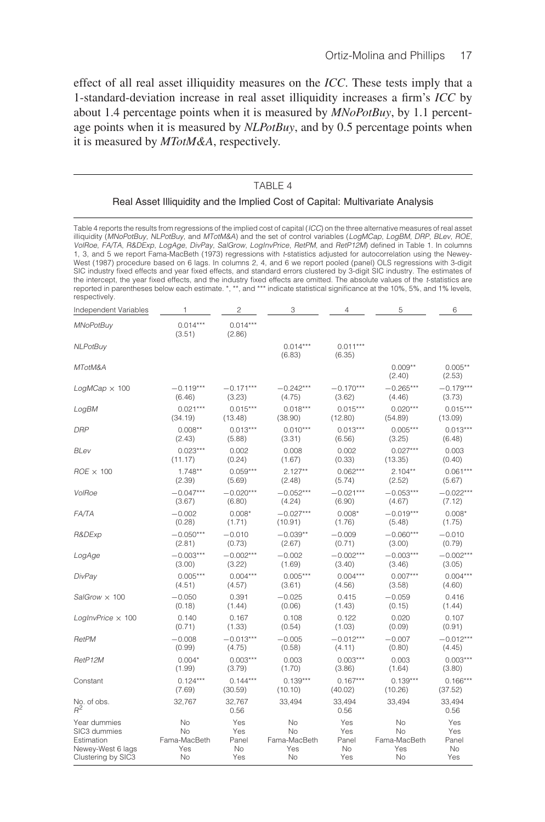effect of all real asset illiquidity measures on the *ICC*. These tests imply that a 1-standard-deviation increase in real asset illiquidity increases a firm's *ICC* by about 1.4 percentage points when it is measured by *MNoPotBuy*, by 1.1 percentage points when it is measured by *NLPotBuy*, and by 0.5 percentage points when it is measured by *MTotM&A*, respectively.

## TABLE 4

#### Real Asset Illiquidity and the Implied Cost of Capital: Multivariate Analysis

Table 4 reports the results from regressions of the implied cost of capital (ICC) on the three alternative measures of real asset illiquidity (MNoPotBuy, NLPotBuy, and MTotM&A) and the set of control variables (LogMCap, LogBM, DRP, BLev, ROE,<br>VolRoe, FA/TA, R&DExp, LogAge, DivPay, SalGrow, LogInvPrice, RetPM, and RetP12M) defined in Table 1. In colum 1, 3, and 5 we report Fama-MacBeth (1973) regressions with <sup>t</sup>-statistics adjusted for autocorrelation using the Newey-West (1987) procedure based on 6 lags. In columns 2, 4, and 6 we report pooled (panel) OLS regressions with 3-digit SIC industry fixed effects and year fixed effects, and standard errors clustered by 3-digit SIC industry. The estimates of the intercept, the year fixed effects, and the industry fixed effects are omitted. The absolute values of the <sup>t</sup>-statistics are reported in parentheses below each estimate. \*, \*\*, and \*\*\* indicate statistical significance at the 10%, 5%, and 1% levels, respectively.

| Independent Variables    | 1                    | $\overline{c}$       | 3                    | 4                    | 5                   | 6                   |
|--------------------------|----------------------|----------------------|----------------------|----------------------|---------------------|---------------------|
| <b>MNoPotBuy</b>         | $0.014***$<br>(3.51) | $0.014***$<br>(2.86) |                      |                      |                     |                     |
| <b>NLPotBuy</b>          |                      |                      | $0.014***$<br>(6.83) | $0.011***$<br>(6.35) |                     |                     |
| MTotM&A                  |                      |                      |                      |                      | $0.009**$<br>(2.40) | $0.005**$<br>(2.53) |
| $LogMCap \times 100$     | $-0.119***$          | $-0.171***$          | $-0.242***$          | $-0.170***$          | $-0.265***$         | $-0.179***$         |
|                          | (6.46)               | (3.23)               | (4.75)               | (3.62)               | (4.46)              | (3.73)              |
| LogBM                    | $0.021***$           | $0.015***$           | $0.018***$           | $0.015***$           | $0.020***$          | $0.015***$          |
|                          | (34.19)              | (13.48)              | (38.90)              | (12.80)              | (54.89)             | (13.09)             |
| <b>DRP</b>               | $0.008**$            | $0.013***$           | $0.010***$           | $0.013***$           | $0.005***$          | $0.013***$          |
|                          | (2.43)               | (5.88)               | (3.31)               | (6.56)               | (3.25)              | (6.48)              |
| BLev                     | $0.023***$           | 0.002                | 0.008                | 0.002                | $0.027***$          | 0.003               |
|                          | (11.17)              | (0.24)               | (1.67)               | (0.33)               | (13.35)             | (0.40)              |
| $ROE \times 100$         | $1.748**$            | $0.059***$           | $2.127**$            | $0.062***$           | $2.104**$           | $0.061***$          |
|                          | (2.39)               | (5.69)               | (2.48)               | (5.74)               | (2.52)              | (5.67)              |
| VolRoe                   | $-0.047***$          | $-0.020***$          | $-0.052***$          | $-0.021***$          | $-0.053***$         | $-0.022***$         |
|                          | (3.67)               | (6.80)               | (4.24)               | (6.90)               | (4.67)              | (7.12)              |
| FA/TA                    | $-0.002$             | $0.008*$             | $-0.027***$          | $0.008*$             | $-0.019***$         | $0.008*$            |
|                          | (0.28)               | (1.71)               | (10.91)              | (1.76)               | (5.48)              | (1.75)              |
| R&DExp                   | $-0.050***$          | $-0.010$             | $-0.039**$           | $-0.009$             | $-0.060***$         | $-0.010$            |
|                          | (2.81)               | (0.73)               | (2.67)               | (0.71)               | (3.00)              | (0.79)              |
| LogAge                   | $-0.003***$          | $-0.002***$          | $-0.002$             | $-0.002***$          | $-0.003***$         | $-0.002***$         |
|                          | (3.00)               | (3.22)               | (1.69)               | (3.40)               | (3.46)              | (3.05)              |
| DivPay                   | $0.005***$           | $0.004***$           | $0.005***$           | $0.004***$           | $0.007***$          | $0.004***$          |
|                          | (4.51)               | (4.57)               | (3.61)               | (4.56)               | (3.58)              | (4.60)              |
| SalGrow $\times$ 100     | $-0.050$             | 0.391                | $-0.025$             | 0.415                | $-0.059$            | 0.416               |
|                          | (0.18)               | (1.44)               | (0.06)               | (1.43)               | (0.15)              | (1.44)              |
| LogInvPrice $\times$ 100 | 0.140                | 0.167                | 0.108                | 0.122                | 0.020               | 0.107               |
|                          | (0.71)               | (1.33)               | (0.54)               | (1.03)               | (0.09)              | (0.91)              |
| RetPM                    | $-0.008$             | $-0.013***$          | $-0.005$             | $-0.012***$          | $-0.007$            | $-0.012***$         |
|                          | (0.99)               | (4.75)               | (0.58)               | (4.11)               | (0.80)              | (4.45)              |
| RetP12M                  | $0.004*$             | $0.003***$           | 0.003                | $0.003***$           | 0.003               | $0.003***$          |
|                          | (1.99)               | (3.79)               | (1.70)               | (3.86)               | (1.64)              | (3.80)              |
| Constant                 | $0.124***$           | $0.144***$           | $0.139***$           | $0.167***$           | $0.139***$          | $0.166***$          |
|                          | (7.69)               | (30.59)              | (10.10)              | (40.02)              | (10.26)             | (37.52)             |
| No. of obs.<br>$R^2$     | 32,767               | 32,767<br>0.56       | 33,494               | 33,494<br>0.56       | 33,494              | 33,494<br>0.56      |
| Year dummies             | No                   | Yes                  | No.                  | Yes                  | <b>No</b>           | Yes                 |
| SIC3 dummies             | No                   | Yes                  | No                   | Yes                  | <b>No</b>           | Yes                 |
| Estimation               | Fama-MacBeth         | Panel                | Fama-MacBeth         | Panel                | Fama-MacBeth        | Panel               |
| Newey-West 6 lags        | Yes                  | No                   | Yes                  | No                   | Yes                 | No.                 |
| Clustering by SIC3       | No                   | Yes                  | No                   | Yes                  | <b>No</b>           | Yes                 |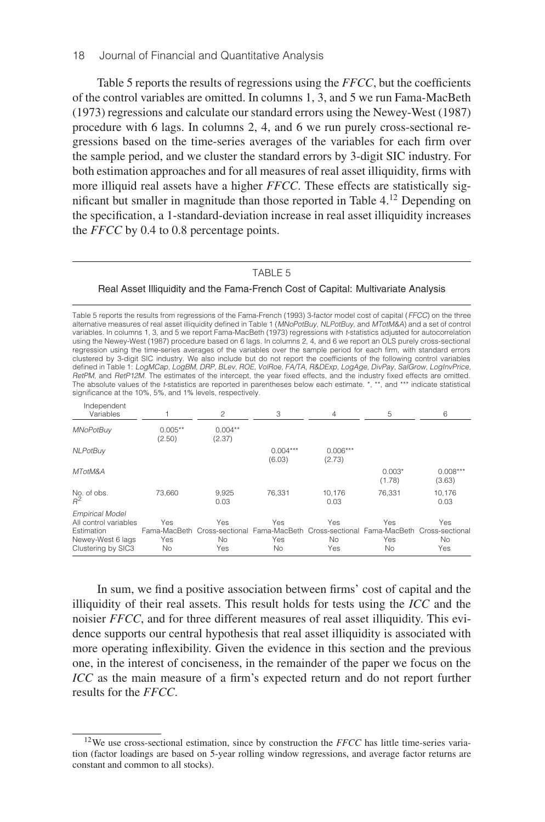## 18 Journal of Financial and Quantitative Analysis

Table 5 reports the results of regressions using the *FFCC*, but the coefficients of the control variables are omitted. In columns 1, 3, and 5 we run Fama-MacBeth (1973) regressions and calculate our standard errors using the Newey-West (1987) procedure with 6 lags. In columns 2, 4, and 6 we run purely cross-sectional regressions based on the time-series averages of the variables for each firm over the sample period, and we cluster the standard errors by 3-digit SIC industry. For both estimation approaches and for all measures of real asset illiquidity, firms with more illiquid real assets have a higher *FFCC*. These effects are statistically significant but smaller in magnitude than those reported in Table 4.12 Depending on the specification, a 1-standard-deviation increase in real asset illiquidity increases the *FFCC* by 0.4 to 0.8 percentage points.

#### TABLE 5

Real Asset Illiquidity and the Fama-French Cost of Capital: Multivariate Analysis

Table 5 reports the results from regressions of the Fama-French (1993) 3-factor model cost of capital (FFCC) on the three alternative measures of real asset illiquidity defined in Table 1 (MNoPotBuy, NLPotBuy, and MTotM&A) and a set of control<br>variables. In columns 1, 3, and 5 we report Fama-MacBeth (1973) regressions with *t*-statistics adju using the Newey-West (1987) procedure based on 6 lags. In columns 2, 4, and 6 we report an OLS purely cross-sectional regression using the time-series averages of the variables over the sample period for each firm, with standard errors clustered by 3-digit SIC industry. We also include but do not report the coefficients of the following control variables defined in Table 1: LogMCap, LogBM, DRP, BLev, ROE, VolRoe, FA/TA, R&DExp, LogAge, DivPay, SalGrow, LogInvPrice, RetPM, and RetP12M. The estimates of the intercept, the year fixed effects, and the industry fixed effects are omitted. The absolute values of the <sup>t</sup>-statistics are reported in parentheses below each estimate. \*, \*\*, and \*\*\* indicate statistical significance at the 10%, 5%, and 1% levels, respectively.

| Independent<br>Variables                                                                                 |                     | 2                       | 3                    | 4                                                                                                                  | 5                              | 6                    |
|----------------------------------------------------------------------------------------------------------|---------------------|-------------------------|----------------------|--------------------------------------------------------------------------------------------------------------------|--------------------------------|----------------------|
| <b>MNoPotBuv</b>                                                                                         | $0.005**$<br>(2.50) | $0.004**$<br>(2.37)     |                      |                                                                                                                    |                                |                      |
| <b>NLPotBuy</b>                                                                                          |                     |                         | $0.004***$<br>(6.03) | $0.006***$<br>(2.73)                                                                                               |                                |                      |
| MTotM&A                                                                                                  |                     |                         |                      |                                                                                                                    | $0.003*$<br>(1.78)             | $0.008***$<br>(3.63) |
| No. of obs.<br>$R^2$                                                                                     | 73.660              | 9.925<br>0.03           | 76.331               | 10.176<br>0.03                                                                                                     | 76.331                         | 10,176<br>0.03       |
| <b>Empirical Model</b><br>All control variables<br>Estimation<br>Newey-West 6 lags<br>Clustering by SIC3 | Yes<br>Yes<br>No    | Yes<br><b>No</b><br>Yes | Yes<br>Yes<br>No     | <b>Yes</b><br>Fama-MacBeth Cross-sectional Fama-MacBeth Cross-sectional Fama-MacBeth Cross-sectional<br>No.<br>Yes | <b>Yes</b><br>Yes<br><b>No</b> | Yes<br>No<br>Yes     |

In sum, we find a positive association between firms' cost of capital and the illiquidity of their real assets. This result holds for tests using the *ICC* and the noisier *FFCC*, and for three different measures of real asset illiquidity. This evidence supports our central hypothesis that real asset illiquidity is associated with more operating inflexibility. Given the evidence in this section and the previous one, in the interest of conciseness, in the remainder of the paper we focus on the *ICC* as the main measure of a firm's expected return and do not report further results for the *FFCC*.

<sup>&</sup>lt;sup>12</sup>We use cross-sectional estimation, since by construction the *FFCC* has little time-series variation (factor loadings are based on 5-year rolling window regressions, and average factor returns are constant and common to all stocks).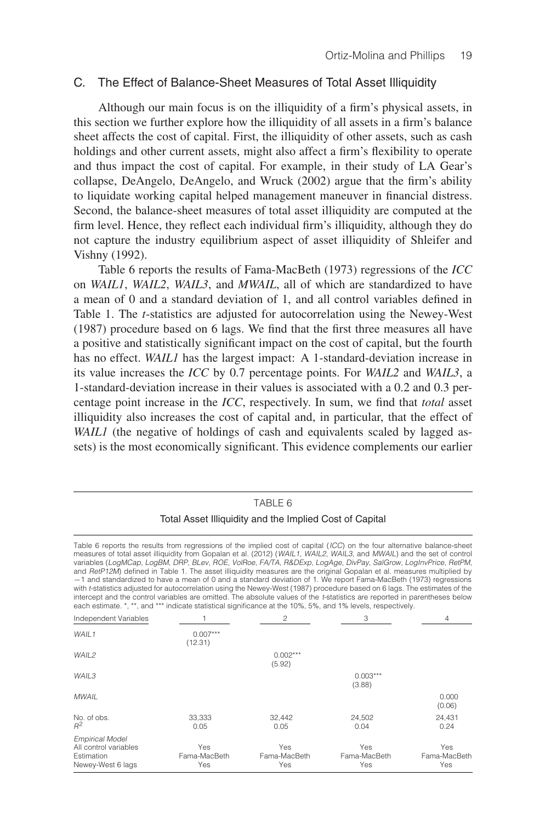## C. The Effect of Balance-Sheet Measures of Total Asset Illiquidity

Although our main focus is on the illiquidity of a firm's physical assets, in this section we further explore how the illiquidity of all assets in a firm's balance sheet affects the cost of capital. First, the illiquidity of other assets, such as cash holdings and other current assets, might also affect a firm's flexibility to operate and thus impact the cost of capital. For example, in their study of LA Gear's collapse, DeAngelo, DeAngelo, and Wruck (2002) argue that the firm's ability to liquidate working capital helped management maneuver in financial distress. Second, the balance-sheet measures of total asset illiquidity are computed at the firm level. Hence, they reflect each individual firm's illiquidity, although they do not capture the industry equilibrium aspect of asset illiquidity of Shleifer and Vishny (1992).

Table 6 reports the results of Fama-MacBeth (1973) regressions of the *ICC* on *WAIL1*, *WAIL2*, *WAIL3*, and *MWAIL*, all of which are standardized to have a mean of 0 and a standard deviation of 1, and all control variables defined in Table 1. The *t*-statistics are adjusted for autocorrelation using the Newey-West (1987) procedure based on 6 lags. We find that the first three measures all have a positive and statistically significant impact on the cost of capital, but the fourth has no effect. *WAIL1* has the largest impact: A 1-standard-deviation increase in its value increases the *ICC* by 0.7 percentage points. For *WAIL2* and *WAIL3*, a 1-standard-deviation increase in their values is associated with a 0.2 and 0.3 percentage point increase in the *ICC*, respectively. In sum, we find that *total* asset illiquidity also increases the cost of capital and, in particular, that the effect of *WAIL1* (the negative of holdings of cash and equivalents scaled by lagged assets) is the most economically significant. This evidence complements our earlier

## TABLE 6

## Total Asset Illiquidity and the Implied Cost of Capital

Table 6 reports the results from regressions of the implied cost of capital (ICC) on the four alternative balance-sheet measures of total asset illiquidity from Gopalan et al. (2012) (WAIL1, WAIL2, WAIL3, and MWAIL) and the set of control variables (LogMCap, LogBM, DRP, BLev, ROE, VolRoe, FA/TA, R&DExp, LogAge, DivPay, SalGrow, LogInvPrice, RetPM,<br>and RetP12M) defined in Table 1. The asset illiquidity measures are the original Gopalan et al. measures multip −1 and standardized to have a mean of 0 and a standard deviation of 1. We report Fama-MacBeth (1973) regressions with t-statistics adjusted for autocorrelation using the Newey-West (1987) procedure based on 6 lags. The estimates of the<br>intercept and the control variables are omitted. The absolute values of the *t*-statistics are repo each estimate. \*, \*\*, and \*\*\* indicate statistical significance at the 10%, 5%, and 1% levels, respectively.

| Independent Variables                                                              |                            | 2                          | 3                          | 4                          |
|------------------------------------------------------------------------------------|----------------------------|----------------------------|----------------------------|----------------------------|
| WAIL1                                                                              | $0.007***$<br>(12.31)      |                            |                            |                            |
| WAIL <sub>2</sub>                                                                  |                            | $0.002***$<br>(5.92)       |                            |                            |
| WAIL3                                                                              |                            |                            | $0.003***$<br>(3.88)       |                            |
| <b>MWAIL</b>                                                                       |                            |                            |                            | 0.000<br>(0.06)            |
| No. of obs.<br>$R^2$                                                               | 33,333<br>0.05             | 32.442<br>0.05             | 24,502<br>0.04             | 24,431<br>0.24             |
| <b>Empirical Model</b><br>All control variables<br>Estimation<br>Newey-West 6 lags | Yes<br>Fama-MacBeth<br>Yes | Yes<br>Fama-MacBeth<br>Yes | Yes<br>Fama-MacBeth<br>Yes | Yes<br>Fama-MacBeth<br>Yes |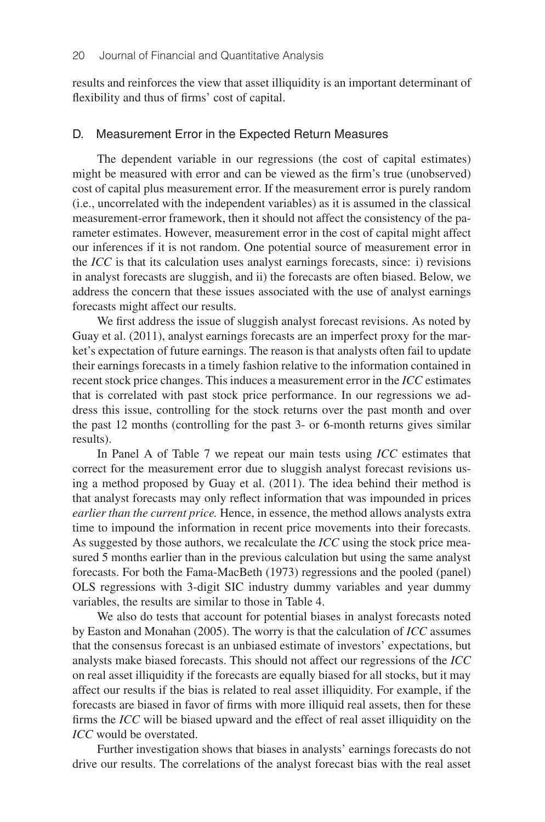results and reinforces the view that asset illiquidity is an important determinant of flexibility and thus of firms' cost of capital.

## D. Measurement Error in the Expected Return Measures

The dependent variable in our regressions (the cost of capital estimates) might be measured with error and can be viewed as the firm's true (unobserved) cost of capital plus measurement error. If the measurement error is purely random (i.e., uncorrelated with the independent variables) as it is assumed in the classical measurement-error framework, then it should not affect the consistency of the parameter estimates. However, measurement error in the cost of capital might affect our inferences if it is not random. One potential source of measurement error in the *ICC* is that its calculation uses analyst earnings forecasts, since: i) revisions in analyst forecasts are sluggish, and ii) the forecasts are often biased. Below, we address the concern that these issues associated with the use of analyst earnings forecasts might affect our results.

We first address the issue of sluggish analyst forecast revisions. As noted by Guay et al. (2011), analyst earnings forecasts are an imperfect proxy for the market's expectation of future earnings. The reason is that analysts often fail to update their earnings forecasts in a timely fashion relative to the information contained in recent stock price changes. This induces a measurement error in the *ICC* estimates that is correlated with past stock price performance. In our regressions we address this issue, controlling for the stock returns over the past month and over the past 12 months (controlling for the past 3- or 6-month returns gives similar results).

In Panel A of Table 7 we repeat our main tests using *ICC* estimates that correct for the measurement error due to sluggish analyst forecast revisions using a method proposed by Guay et al. (2011). The idea behind their method is that analyst forecasts may only reflect information that was impounded in prices *earlier than the current price.* Hence, in essence, the method allows analysts extra time to impound the information in recent price movements into their forecasts. As suggested by those authors, we recalculate the *ICC* using the stock price measured 5 months earlier than in the previous calculation but using the same analyst forecasts. For both the Fama-MacBeth (1973) regressions and the pooled (panel) OLS regressions with 3-digit SIC industry dummy variables and year dummy variables, the results are similar to those in Table 4.

We also do tests that account for potential biases in analyst forecasts noted by Easton and Monahan (2005). The worry is that the calculation of *ICC* assumes that the consensus forecast is an unbiased estimate of investors' expectations, but analysts make biased forecasts. This should not affect our regressions of the *ICC* on real asset illiquidity if the forecasts are equally biased for all stocks, but it may affect our results if the bias is related to real asset illiquidity. For example, if the forecasts are biased in favor of firms with more illiquid real assets, then for these firms the *ICC* will be biased upward and the effect of real asset illiquidity on the *ICC* would be overstated.

Further investigation shows that biases in analysts' earnings forecasts do not drive our results. The correlations of the analyst forecast bias with the real asset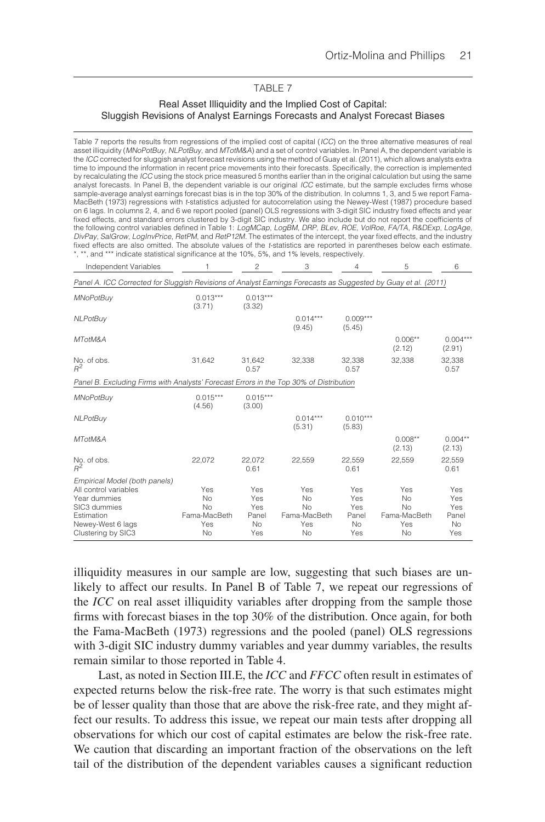## TABLE 7

#### Real Asset Illiquidity and the Implied Cost of Capital: Sluggish Revisions of Analyst Earnings Forecasts and Analyst Forecast Biases

Table 7 reports the results from regressions of the implied cost of capital (ICC) on the three alternative measures of real asset illiquidity (MNoPotBuy, NLPotBuy, and MTotM&A) and a set of control variables. In Panel A, the dependent variable is the ICC corrected for sluggish analyst forecast revisions using the method of Guay et al. (2011), which allows analysts extra time to impound the information in recent price movements into their forecasts. Specifically, the correction is implemented by recalculating the ICC using the stock price measured 5 months earlier than in the original calculation but using the same analyst forecasts. In Panel B, the dependent variable is our original ICC estimate, but the sample excludes firms whose sample-average analyst earnings forecast bias is in the top 30% of the distribution. In columns 1, 3, and 5 we report Fama-MacBeth (1973) regressions with <sup>t</sup>-statistics adjusted for autocorrelation using the Newey-West (1987) procedure based on 6 lags. In columns 2, 4, and 6 we report pooled (panel) OLS regressions with 3-digit SIC industry fixed effects and year fixed effects, and standard errors clustered by 3-digit SIC industry. We also include but do not report the coefficients of<br>the following control variables defined in Table 1: *LogMCap, LogBM, DRP, BLev, ROE, VolRoe, FA/TA* DivPay, SalGrow, LogInvPrice, RetPM, and RetP12M. The estimates of the intercept, the year fixed effects, and the industry fixed effects are also omitted. The absolute values of the <sup>t</sup>-statistics are reported in parentheses below each estimate. \*, \*\*, and \*\*\* indicate statistical significance at the 10%, 5%, and 1% levels, respectively.

| Independent Variables                                                                                          |                           | 2                    | 3                    | 4                    | 5                   | 6                    |
|----------------------------------------------------------------------------------------------------------------|---------------------------|----------------------|----------------------|----------------------|---------------------|----------------------|
| Panel A. ICC Corrected for Sluggish Revisions of Analyst Earnings Forecasts as Suggested by Guay et al. (2011) |                           |                      |                      |                      |                     |                      |
| <b>MNoPotBuy</b>                                                                                               | $0.013***$<br>(3.71)      | $0.013***$<br>(3.32) |                      |                      |                     |                      |
| <b>NLPotBuy</b>                                                                                                |                           |                      | $0.014***$<br>(9.45) | $0.009***$<br>(5.45) |                     |                      |
| MTotM&A                                                                                                        |                           |                      |                      |                      | $0.006**$<br>(2.12) | $0.004***$<br>(2.91) |
| No. of obs.<br>$R^2$                                                                                           | 31,642                    | 31,642<br>0.57       | 32,338               | 32,338<br>0.57       | 32,338              | 32,338<br>0.57       |
| Panel B. Excluding Firms with Analysts' Forecast Errors in the Top 30% of Distribution                         |                           |                      |                      |                      |                     |                      |
| <b>MNoPotBuy</b>                                                                                               | $0.015***$<br>(4.56)      | $0.015***$<br>(3.00) |                      |                      |                     |                      |
| <b>NLPotBuy</b>                                                                                                |                           |                      | $0.014***$<br>(5.31) | $0.010***$<br>(5.83) |                     |                      |
| MTotM&A                                                                                                        |                           |                      |                      |                      | $0.008**$<br>(2.13) | $0.004**$<br>(2.13)  |
| No. of obs.<br>$R^2$                                                                                           | 22,072                    | 22,072<br>0.61       | 22,559               | 22,559<br>0.61       | 22,559              | 22,559<br>0.61       |
| Empirical Model (both panels)                                                                                  |                           |                      |                      |                      |                     |                      |
| All control variables                                                                                          | Yes                       | Yes                  | Yes                  | Yes                  | Yes                 | Yes                  |
| Year dummies                                                                                                   | <b>No</b>                 | Yes                  | No                   | Yes                  | <b>No</b>           | Yes                  |
| SIC <sub>3</sub> dummies<br>Estimation                                                                         | <b>No</b><br>Fama-MacBeth | Yes<br>Panel         | No<br>Fama-MacBeth   | Yes<br>Panel         | No<br>Fama-MacBeth  | Yes<br>Panel         |
| Newey-West 6 lags                                                                                              | Yes                       | <b>No</b>            | Yes                  | <b>No</b>            | Yes                 | <b>No</b>            |
| Clustering by SIC3                                                                                             | No                        | Yes                  | No                   | Yes                  | No                  | Yes                  |

illiquidity measures in our sample are low, suggesting that such biases are unlikely to affect our results. In Panel B of Table 7, we repeat our regressions of the *ICC* on real asset illiquidity variables after dropping from the sample those firms with forecast biases in the top 30% of the distribution. Once again, for both the Fama-MacBeth (1973) regressions and the pooled (panel) OLS regressions with 3-digit SIC industry dummy variables and year dummy variables, the results remain similar to those reported in Table 4.

Last, as noted in Section III.E, the *ICC* and *FFCC* often result in estimates of expected returns below the risk-free rate. The worry is that such estimates might be of lesser quality than those that are above the risk-free rate, and they might affect our results. To address this issue, we repeat our main tests after dropping all observations for which our cost of capital estimates are below the risk-free rate. We caution that discarding an important fraction of the observations on the left tail of the distribution of the dependent variables causes a significant reduction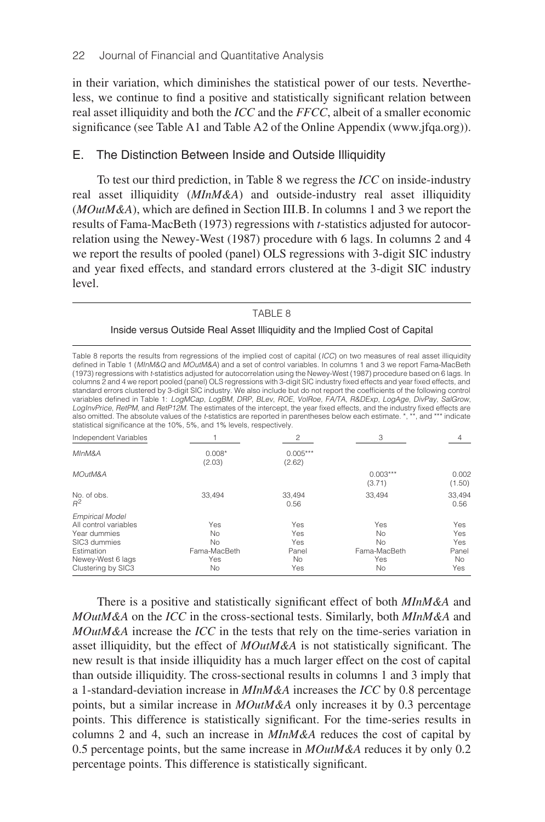in their variation, which diminishes the statistical power of our tests. Nevertheless, we continue to find a positive and statistically significant relation between real asset illiquidity and both the *ICC* and the *FFCC*, albeit of a smaller economic significance (see Table A1 and Table A2 of the Online Appendix (www.jfqa.org)).

## E. The Distinction Between Inside and Outside Illiquidity

To test our third prediction, in Table 8 we regress the *ICC* on inside-industry real asset illiquidity (*MInM&A*) and outside-industry real asset illiquidity (*MOutM&A*), which are defined in Section III.B. In columns 1 and 3 we report the results of Fama-MacBeth (1973) regressions with *t*-statistics adjusted for autocorrelation using the Newey-West (1987) procedure with 6 lags. In columns 2 and 4 we report the results of pooled (panel) OLS regressions with 3-digit SIC industry and year fixed effects, and standard errors clustered at the 3-digit SIC industry level.

## TABLE 8

## Inside versus Outside Real Asset Illiquidity and the Implied Cost of Capital

Table 8 reports the results from regressions of the implied cost of capital (ICC) on two measures of real asset illiquidity defined in Table 1 (MInM&Q and MOutM&A) and a set of control variables. In columns 1 and 3 we report Fama-MacBeth (1973) regressions with <sup>t</sup>-statistics adjusted for autocorrelation using the Newey-West (1987) procedure based on 6 lags. In columns 2 and 4 we report pooled (panel) OLS regressions with 3-digit SIC industry fixed effects and year fixed effects, and standard errors clustered by 3-digit SIC industry. We also include but do not report the coefficients of the following control<br>variables defined in Table 1: *LogMCap, LogBM, DRP, BLev, ROE, VolRoe, FA/TA, R&DExp, LogAge, D* LogInvPrice, RetPM, and RetP12M. The estimates of the intercept, the year fixed effects, and the industry fixed effects are also omitted. The absolute values of the t-statistics are reported in parentheses below each estimate. \*, \*\*, and \*\*\* indicate statistical significance at the 10%, 5%, and 1% levels, respectively.

| Independent Variables    |                    | $\overline{c}$       | 3                    | $\overline{4}$  |
|--------------------------|--------------------|----------------------|----------------------|-----------------|
| MInM&A                   | $0.008*$<br>(2.03) | $0.005***$<br>(2.62) |                      |                 |
| <b>MOutM&amp;A</b>       |                    |                      | $0.003***$<br>(3.71) | 0.002<br>(1.50) |
| No. of obs.<br>$R^2$     | 33.494             | 33.494<br>0.56       | 33,494               | 33.494<br>0.56  |
| <b>Empirical Model</b>   |                    |                      |                      |                 |
| All control variables    | Yes                | Yes                  | Yes                  | Yes             |
| Year dummies             | <b>No</b>          | Yes                  | No.                  | Yes             |
| SIC <sub>3</sub> dummies | No                 | Yes                  | <b>No</b>            | Yes             |
| Estimation               | Fama-MacBeth       | Panel                | Fama-MacBeth         | Panel           |
| Newey-West 6 lags        | Yes                | <b>No</b>            | Yes                  | <b>No</b>       |
| Clustering by SIC3       | No                 | Yes                  | <b>No</b>            | Yes             |

There is a positive and statistically significant effect of both *MInM&A* and *MOutM&A* on the *ICC* in the cross-sectional tests. Similarly, both *MInM&A* and *MOutM&A* increase the *ICC* in the tests that rely on the time-series variation in asset illiquidity, but the effect of *MOutM&A* is not statistically significant. The new result is that inside illiquidity has a much larger effect on the cost of capital than outside illiquidity. The cross-sectional results in columns 1 and 3 imply that a 1-standard-deviation increase in *MInM&A* increases the *ICC* by 0.8 percentage points, but a similar increase in *MOutM&A* only increases it by 0.3 percentage points. This difference is statistically significant. For the time-series results in columns 2 and 4, such an increase in *MInM&A* reduces the cost of capital by 0.5 percentage points, but the same increase in *MOutM&A* reduces it by only 0.2 percentage points. This difference is statistically significant.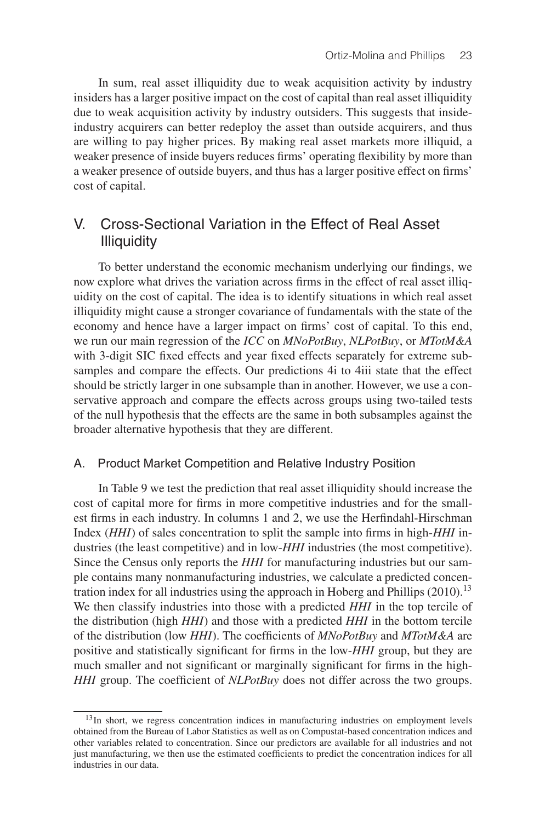In sum, real asset illiquidity due to weak acquisition activity by industry insiders has a larger positive impact on the cost of capital than real asset illiquidity due to weak acquisition activity by industry outsiders. This suggests that insideindustry acquirers can better redeploy the asset than outside acquirers, and thus are willing to pay higher prices. By making real asset markets more illiquid, a weaker presence of inside buyers reduces firms' operating flexibility by more than a weaker presence of outside buyers, and thus has a larger positive effect on firms' cost of capital.

# V. Cross-Sectional Variation in the Effect of Real Asset **Illiquidity**

To better understand the economic mechanism underlying our findings, we now explore what drives the variation across firms in the effect of real asset illiquidity on the cost of capital. The idea is to identify situations in which real asset illiquidity might cause a stronger covariance of fundamentals with the state of the economy and hence have a larger impact on firms' cost of capital. To this end, we run our main regression of the *ICC* on *MNoPotBuy*, *NLPotBuy*, or *MTotM&A* with 3-digit SIC fixed effects and year fixed effects separately for extreme subsamples and compare the effects. Our predictions 4i to 4iii state that the effect should be strictly larger in one subsample than in another. However, we use a conservative approach and compare the effects across groups using two-tailed tests of the null hypothesis that the effects are the same in both subsamples against the broader alternative hypothesis that they are different.

## A. Product Market Competition and Relative Industry Position

In Table 9 we test the prediction that real asset illiquidity should increase the cost of capital more for firms in more competitive industries and for the smallest firms in each industry. In columns 1 and 2, we use the Herfindahl-Hirschman Index (*HHI*) of sales concentration to split the sample into firms in high-*HHI* industries (the least competitive) and in low-*HHI* industries (the most competitive). Since the Census only reports the *HHI* for manufacturing industries but our sample contains many nonmanufacturing industries, we calculate a predicted concentration index for all industries using the approach in Hoberg and Phillips (2010).<sup>13</sup> We then classify industries into those with a predicted *HHI* in the top tercile of the distribution (high *HHI*) and those with a predicted *HHI* in the bottom tercile of the distribution (low *HHI*). The coefficients of *MNoPotBuy* and *MTotM&A* are positive and statistically significant for firms in the low-*HHI* group, but they are much smaller and not significant or marginally significant for firms in the high-*HHI* group. The coefficient of *NLPotBuy* does not differ across the two groups.

<sup>&</sup>lt;sup>13</sup>In short, we regress concentration indices in manufacturing industries on employment levels obtained from the Bureau of Labor Statistics as well as on Compustat-based concentration indices and other variables related to concentration. Since our predictors are available for all industries and not just manufacturing, we then use the estimated coefficients to predict the concentration indices for all industries in our data.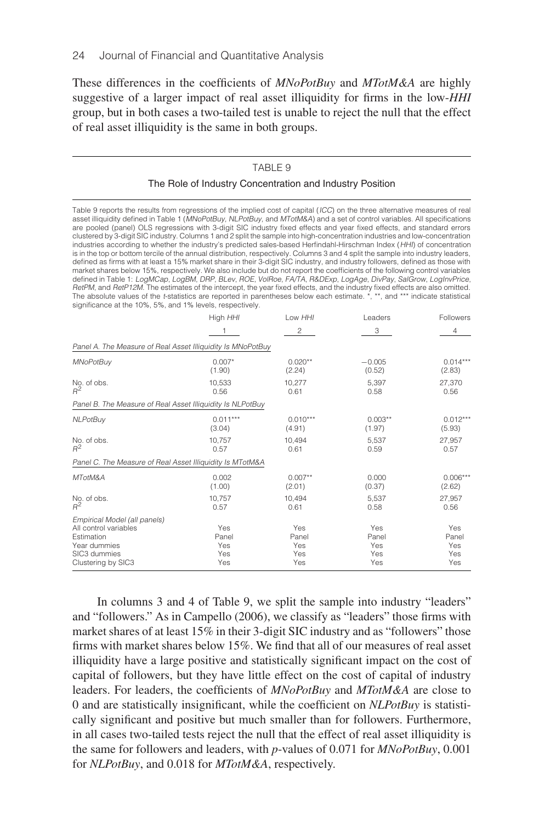These differences in the coefficients of *MNoPotBuy* and *MTotM&A* are highly suggestive of a larger impact of real asset illiquidity for firms in the low-*HHI* group, but in both cases a two-tailed test is unable to reject the null that the effect of real asset illiquidity is the same in both groups.

#### TABLE 9

#### The Role of Industry Concentration and Industry Position

Table 9 reports the results from regressions of the implied cost of capital (ICC) on the three alternative measures of real asset illiquidity defined in Table 1 (MNoPotBuy, NLPotBuy, and MTotM&A) and a set of control variables. All specifications are pooled (panel) OLS regressions with 3-digit SIC industry fixed effects and year fixed effects, and standard errors clustered by 3-digit SIC industry. Columns 1 and 2 split the sample into high-concentration industries and low-concentration<br>industries according to whether the industry's predicted sales-based Herfindahl-Hirschman Index ( is in the top or bottom tercile of the annual distribution, respectively. Columns 3 and 4 split the sample into industry leaders,<br>defined as firms with at least a 15% market share in their 3-digit SIC industry, and industr market shares below 15%, respectively. We also include but do not report the coefficients of the following control variables defined in Table 1: LogMCap, LogBM, DRP, BLev, ROE, VolRoe, FA/TA, R&DExp, LogAge, DivPay, SalGrow, LogInvPrice, RetPM, and RetP12M. The estimates of the intercept, the year fixed effects, and the industry fixed effects are also omitted. The absolute values of the <sup>t</sup>-statistics are reported in parentheses below each estimate. \*, \*\*, and \*\*\* indicate statistical significance at the 10%, 5%, and 1% levels, respectively.

|                                                                                     | High HHI            | Low HHI             | Leaders             | Followers           |
|-------------------------------------------------------------------------------------|---------------------|---------------------|---------------------|---------------------|
|                                                                                     |                     | $\overline{c}$      | 3                   | 4                   |
| Panel A. The Measure of Real Asset Illiquidity Is MNoPotBuy                         |                     |                     |                     |                     |
| <b>MNoPotBuy</b>                                                                    | $0.007*$            | $0.020**$           | $-0.005$            | $0.014***$          |
|                                                                                     | (1.90)              | (2.24)              | (0.52)              | (2.83)              |
| No. of obs.                                                                         | 10,533              | 10,277              | 5,397               | 27,370              |
| $R^2$                                                                               | 0.56                | 0.61                | 0.58                | 0.56                |
| Panel B. The Measure of Real Asset Illiquidity Is NLPotBuy                          |                     |                     |                     |                     |
| <b>NLPotBuy</b>                                                                     | $0.011***$          | $0.010***$          | $0.003**$           | $0.012***$          |
|                                                                                     | (3.04)              | (4.91)              | (1.97)              | (5.93)              |
| No. of obs.                                                                         | 10.757              | 10.494              | 5.537               | 27,957              |
| $R^2$                                                                               | 0.57                | 0.61                | 0.59                | 0.57                |
| Panel C. The Measure of Real Asset Illiquidity Is MTotM&A                           |                     |                     |                     |                     |
| MTotM&A                                                                             | 0.002               | $0.007**$           | 0.000               | $0.006***$          |
|                                                                                     | (1.00)              | (2.01)              | (0.37)              | (2.62)              |
| No. of obs.                                                                         | 10,757              | 10.494              | 5,537               | 27,957              |
| $R^2$                                                                               | 0.57                | 0.61                | 0.58                | 0.56                |
| Empirical Model (all panels)<br>All control variables<br>Estimation<br>Year dummies | Yes<br>Panel<br>Yes | Yes<br>Panel<br>Yes | Yes<br>Panel<br>Yes | Yes<br>Panel<br>Yes |
| SIC <sub>3</sub> dummies                                                            | Yes                 | Yes                 | Yes                 | Yes                 |
| Clustering by SIC3                                                                  | Yes                 | Yes                 | Yes                 | Yes                 |

In columns 3 and 4 of Table 9, we split the sample into industry "leaders" and "followers." As in Campello (2006), we classify as "leaders" those firms with market shares of at least 15% in their 3-digit SIC industry and as "followers" those firms with market shares below 15%. We find that all of our measures of real asset illiquidity have a large positive and statistically significant impact on the cost of capital of followers, but they have little effect on the cost of capital of industry leaders. For leaders, the coefficients of *MNoPotBuy* and *MTotM&A* are close to 0 and are statistically insignificant, while the coefficient on *NLPotBuy* is statistically significant and positive but much smaller than for followers. Furthermore, in all cases two-tailed tests reject the null that the effect of real asset illiquidity is the same for followers and leaders, with *p*-values of 0.071 for *MNoPotBuy*, 0.001 for *NLPotBuy*, and 0.018 for *MTotM&A*, respectively.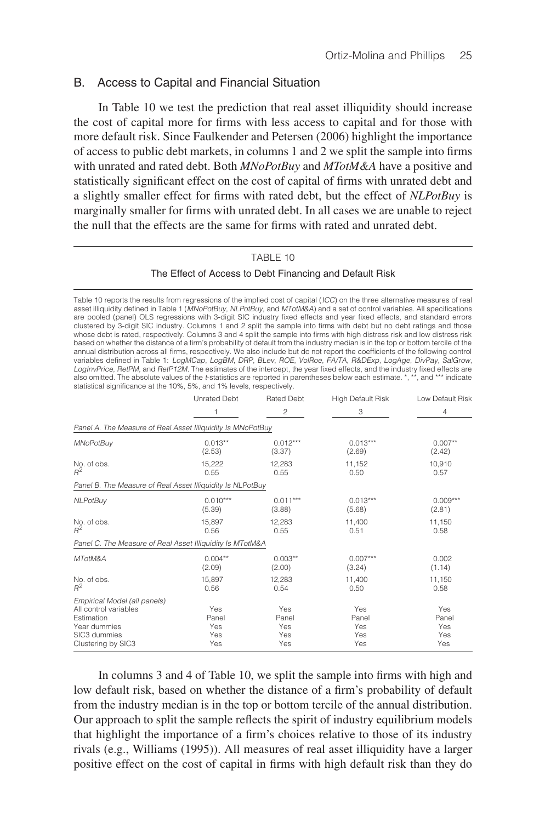## B. Access to Capital and Financial Situation

In Table 10 we test the prediction that real asset illiquidity should increase the cost of capital more for firms with less access to capital and for those with more default risk. Since Faulkender and Petersen (2006) highlight the importance of access to public debt markets, in columns 1 and 2 we split the sample into firms with unrated and rated debt. Both *MNoPotBuy* and *MTotM&A* have a positive and statistically significant effect on the cost of capital of firms with unrated debt and a slightly smaller effect for firms with rated debt, but the effect of *NLPotBuy* is marginally smaller for firms with unrated debt. In all cases we are unable to reject the null that the effects are the same for firms with rated and unrated debt.

## TABLE 10

#### The Effect of Access to Debt Financing and Default Risk

Table 10 reports the results from regressions of the implied cost of capital (ICC) on the three alternative measures of real asset illiquidity defined in Table 1 (MNoPotBuy, NLPotBuy, and MTotM&A) and a set of control variables. All specifications are pooled (panel) OLS regressions with 3-digit SIC industry fixed effects and year fixed effects, and standard errors clustered by 3-digit SIC industry. Columns 1 and 2 split the sample into firms with debt but no debt ratings and those whose debt is rated, respectively. Columns 3 and 4 split the sample into firms with high distress risk and low distress risk based on whether the distance of a firm's probability of default from the industry median is in the top or bottom tercile of the annual distribution across all firms, respectively. We also include but do not report the coefficients of the following control<br>variables defined in Table 1: *LogMCap, LogBM, DRP, BLev, ROE, VolRoe, FA/TA, R&DExp, LogAge,* LogInvPrice, RetPM, and RetP12M. The estimates of the intercept, the year fixed effects, and the industry fixed effects are also omitted. The absolute values of the t-statistics are reported in parentheses below each estimate. \*, \*\*, and \*\*\* indicate statistical significance at the 10%, 5%, and 1% levels, respectively.

|                                                                                                                                       | <b>Unrated Debt</b>               | Rated Debt                        | <b>High Default Risk</b>          | Low Default Risk                  |
|---------------------------------------------------------------------------------------------------------------------------------------|-----------------------------------|-----------------------------------|-----------------------------------|-----------------------------------|
|                                                                                                                                       |                                   | 2                                 | 3                                 | 4                                 |
| Panel A. The Measure of Real Asset Illiquidity Is MNoPotBuy                                                                           |                                   |                                   |                                   |                                   |
| <b>MNoPotBuy</b>                                                                                                                      | $0.013**$                         | $0.012***$                        | $0.013***$                        | $0.007**$                         |
|                                                                                                                                       | (2.53)                            | (3.37)                            | (2.69)                            | (2.42)                            |
| No. of obs.                                                                                                                           | 15,222                            | 12.283                            | 11,152                            | 10.910                            |
| $R^2$                                                                                                                                 | 0.55                              | 0.55                              | 0.50                              | 0.57                              |
| Panel B. The Measure of Real Asset Illiquidity Is NLPotBuy                                                                            |                                   |                                   |                                   |                                   |
| <b>NLPotBuv</b>                                                                                                                       | $0.010***$                        | $0.011***$                        | $0.013***$                        | $0.009***$                        |
|                                                                                                                                       | (5.39)                            | (3.88)                            | (5.68)                            | (2.81)                            |
| No. of obs.                                                                                                                           | 15,897                            | 12,283                            | 11,400                            | 11,150                            |
| $R^2$                                                                                                                                 | 0.56                              | 0.55                              | 0.51                              | 0.58                              |
| Panel C. The Measure of Real Asset Illiquidity Is MTotM&A                                                                             |                                   |                                   |                                   |                                   |
| MTotM&A                                                                                                                               | $0.004**$                         | $0.003**$                         | $0.007***$                        | 0.002                             |
|                                                                                                                                       | (2.09)                            | (2.00)                            | (3.24)                            | (1.14)                            |
| No. of obs.                                                                                                                           | 15.897                            | 12.283                            | 11.400                            | 11.150                            |
| $R^2$                                                                                                                                 | 0.56                              | 0.54                              | 0.50                              | 0.58                              |
| Empirical Model (all panels)<br>All control variables<br>Estimation<br>Year dummies<br>SIC <sub>3</sub> dummies<br>Clustering by SIC3 | Yes<br>Panel<br>Yes<br>Yes<br>Yes | Yes<br>Panel<br>Yes<br>Yes<br>Yes | Yes<br>Panel<br>Yes<br>Yes<br>Yes | Yes<br>Panel<br>Yes<br>Yes<br>Yes |

In columns 3 and 4 of Table 10, we split the sample into firms with high and low default risk, based on whether the distance of a firm's probability of default from the industry median is in the top or bottom tercile of the annual distribution. Our approach to split the sample reflects the spirit of industry equilibrium models that highlight the importance of a firm's choices relative to those of its industry rivals (e.g., Williams (1995)). All measures of real asset illiquidity have a larger positive effect on the cost of capital in firms with high default risk than they do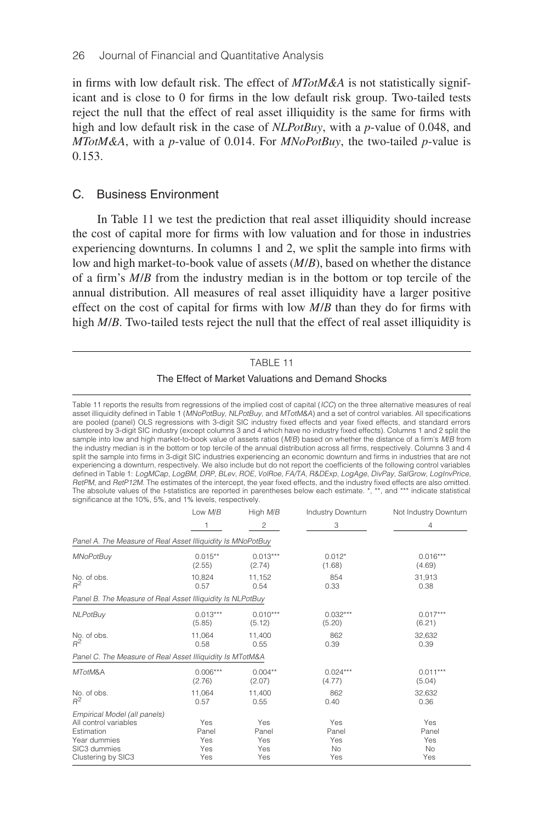in firms with low default risk. The effect of *MTotM&A* is not statistically significant and is close to 0 for firms in the low default risk group. Two-tailed tests reject the null that the effect of real asset illiquidity is the same for firms with high and low default risk in the case of *NLPotBuy*, with a *p*-value of 0.048, and *MTotM&A*, with a *p*-value of 0.014. For *MNoPotBuy*, the two-tailed *p*-value is 0.153.

## C. Business Environment

In Table 11 we test the prediction that real asset illiquidity should increase the cost of capital more for firms with low valuation and for those in industries experiencing downturns. In columns 1 and 2, we split the sample into firms with low and high market-to-book value of assets (*M*/*B*), based on whether the distance of a firm's *M*/*B* from the industry median is in the bottom or top tercile of the annual distribution. All measures of real asset illiquidity have a larger positive effect on the cost of capital for firms with low *M*/*B* than they do for firms with high *M/B*. Two-tailed tests reject the null that the effect of real asset illiquidity is

#### TABLE 11

#### The Effect of Market Valuations and Demand Shocks

Table 11 reports the results from regressions of the implied cost of capital (ICC) on the three alternative measures of real asset illiquidity defined in Table 1 (MNoPotBuy, NLPotBuy, and MTotM&A) and a set of control variables. All specifications are pooled (panel) OLS regressions with 3-digit SIC industry fixed effects and year fixed effects, and standard errors clustered by 3-digit SIC industry (except columns 3 and 4 which have no industry fixed effects). Columns 1 and 2 split the sample into low and high market-to-book value of assets ratios (M/B) based on whether the distance of a firm's M/B from the industry median is in the bottom or top tercile of the annual distribution across all firms, respectively. Columns 3 and 4 split the sample into firms in 3-digit SIC industries experiencing an economic downturn and firms in industries that are not experiencing a downturn, respectively. We also include but do not report the coefficients of the following control variables defined in Table 1: LogMCap, LogBM, DRP, BLev, ROE, VolRoe, FA/TA, R&DExp, LogAge, DivPay, SalGrow, LogInvPrice, RetPM, and RetP12M. The estimates of the intercept, the year fixed effects, and the industry fixed effects are also omitted. The absolute values of the *t*-statistics are reported in parentheses below each estimate. \*, \*\*, and \*\*\* indicate statistical significance at the 10%, 5%, and 1% levels, respectively.

|                                                                                                                                       | Low $M/B$                                | High M/B<br>$\overline{c}$        | Industry Downturn<br>3           | Not Industry Downturn<br>4              |
|---------------------------------------------------------------------------------------------------------------------------------------|------------------------------------------|-----------------------------------|----------------------------------|-----------------------------------------|
|                                                                                                                                       |                                          |                                   |                                  |                                         |
| Panel A. The Measure of Real Asset Illiquidity Is MNoPotBuy                                                                           |                                          |                                   |                                  |                                         |
| <b>MNoPotBuy</b>                                                                                                                      | $0.015**$                                | $0.013***$                        | $0.012*$                         | $0.016***$                              |
|                                                                                                                                       | (2.55)                                   | (2.74)                            | (1.68)                           | (4.69)                                  |
| No. of obs.                                                                                                                           | 10,824                                   | 11,152                            | 854                              | 31,913                                  |
| $R^2$                                                                                                                                 | 0.57                                     | 0.54                              | 0.33                             | 0.38                                    |
| Panel B. The Measure of Real Asset Illiquidity Is NLPotBuy                                                                            |                                          |                                   |                                  |                                         |
| <b>NLPotBuy</b>                                                                                                                       | $0.013***$                               | $0.010***$                        | $0.032***$                       | $0.017***$                              |
|                                                                                                                                       | (5.85)                                   | (5.12)                            | (5.20)                           | (6.21)                                  |
| No. of obs.                                                                                                                           | 11,064                                   | 11,400                            | 862                              | 32,632                                  |
| $R^2$                                                                                                                                 | 0.58                                     | 0.55                              | 0.39                             | 0.39                                    |
| Panel C. The Measure of Real Asset Illiquidity Is MTotM&A                                                                             |                                          |                                   |                                  |                                         |
| MTotM&A                                                                                                                               | $0.006***$                               | $0.004**$                         | $0.024***$                       | $0.011***$                              |
|                                                                                                                                       | (2.76)                                   | (2.07)                            | (4.77)                           | (5.04)                                  |
| No. of obs.                                                                                                                           | 11.064                                   | 11,400                            | 862                              | 32,632                                  |
| $R^2$                                                                                                                                 | 0.57                                     | 0.55                              | 0.40                             | 0.36                                    |
| Empirical Model (all panels)<br>All control variables<br>Estimation<br>Year dummies<br>SIC <sub>3</sub> dummies<br>Clustering by SIC3 | <b>Yes</b><br>Panel<br>Yes<br>Yes<br>Yes | Yes<br>Panel<br>Yes<br>Yes<br>Yes | Yes<br>Panel<br>Yes<br>No<br>Yes | Yes<br>Panel<br>Yes<br><b>No</b><br>Yes |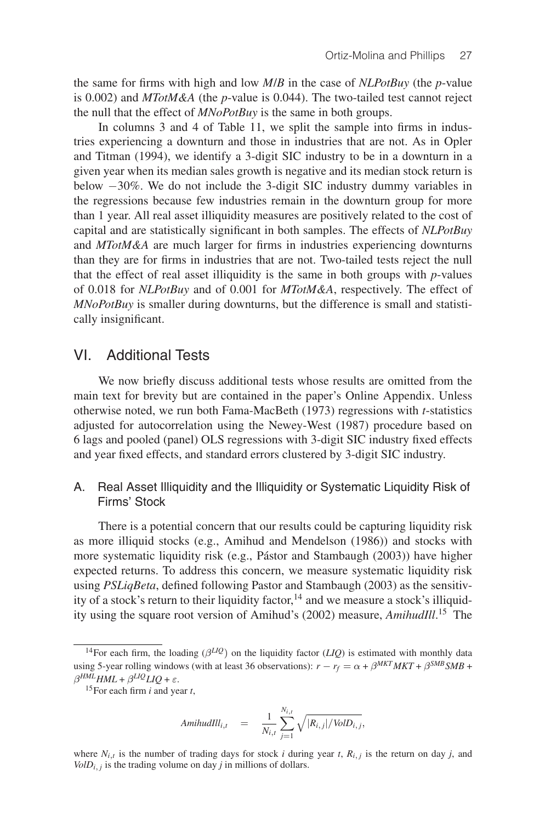the same for firms with high and low *M*/*B* in the case of *NLPotBuy* (the *p*-value is 0.002) and *MTotM&A* (the *p*-value is 0.044). The two-tailed test cannot reject the null that the effect of *MNoPotBuy* is the same in both groups.

In columns 3 and 4 of Table 11, we split the sample into firms in industries experiencing a downturn and those in industries that are not. As in Opler and Titman (1994), we identify a 3-digit SIC industry to be in a downturn in a given year when its median sales growth is negative and its median stock return is below −30%. We do not include the 3-digit SIC industry dummy variables in the regressions because few industries remain in the downturn group for more than 1 year. All real asset illiquidity measures are positively related to the cost of capital and are statistically significant in both samples. The effects of *NLPotBuy* and *MTotM&A* are much larger for firms in industries experiencing downturns than they are for firms in industries that are not. Two-tailed tests reject the null that the effect of real asset illiquidity is the same in both groups with  $p$ -values of 0.018 for *NLPotBuy* and of 0.001 for *MTotM&A*, respectively. The effect of *MNoPotBuy* is smaller during downturns, but the difference is small and statistically insignificant.

# VI. Additional Tests

We now briefly discuss additional tests whose results are omitted from the main text for brevity but are contained in the paper's Online Appendix. Unless otherwise noted, we run both Fama-MacBeth (1973) regressions with *t*-statistics adjusted for autocorrelation using the Newey-West (1987) procedure based on 6 lags and pooled (panel) OLS regressions with 3-digit SIC industry fixed effects and year fixed effects, and standard errors clustered by 3-digit SIC industry.

A. Real Asset Illiquidity and the Illiquidity or Systematic Liquidity Risk of Firms' Stock

There is a potential concern that our results could be capturing liquidity risk as more illiquid stocks (e.g., Amihud and Mendelson (1986)) and stocks with more systematic liquidity risk (e.g., Pástor and Stambaugh (2003)) have higher expected returns. To address this concern, we measure systematic liquidity risk using *PSLiqBeta*, defined following Pastor and Stambaugh (2003) as the sensitivity of a stock's return to their liquidity factor, $14$  and we measure a stock's illiquidity using the square root version of Amihud's (2002) measure, *AmihudIll*. <sup>15</sup> The

$$
AmihudIII_{i,t} = \frac{1}{N_{i,t}} \sum_{j=1}^{N_{i,t}} \sqrt{|R_{i,j}|/VolD_{i,j}},
$$

where  $N_{i,t}$  is the number of trading days for stock *i* during year *t*,  $R_{i,j}$  is the return on day *j*, and  $VolD_{i,j}$  is the trading volume on day *j* in millions of dollars.

<sup>&</sup>lt;sup>14</sup>For each firm, the loading  $(\beta^{LIQ})$  on the liquidity factor  $(LIQ)$  is estimated with monthly data using 5-year rolling windows (with at least 36 observations):  $r - r_f = \alpha + \beta^{MKT}MKT + \beta^{SMB}SMB +$ β*HMLHML* + β*LIQLIQ* + ε.

<sup>15</sup>For each firm *i* and year *t*,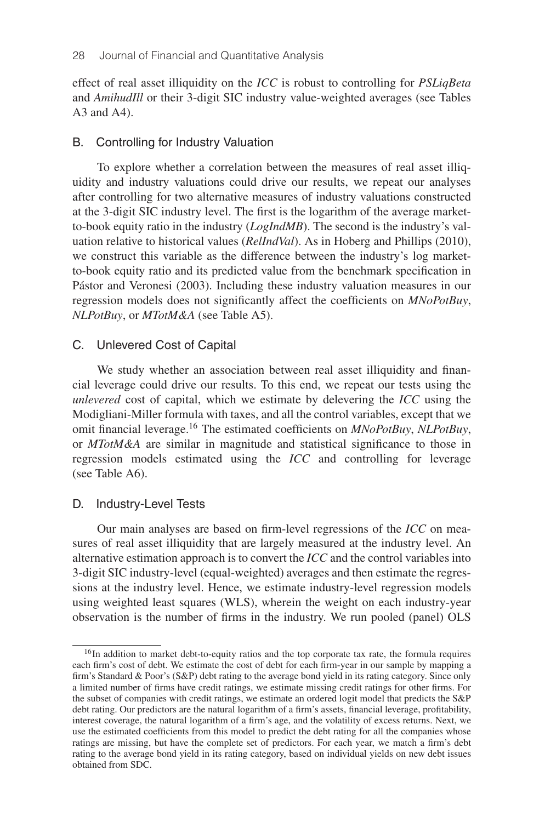effect of real asset illiquidity on the *ICC* is robust to controlling for *PSLiqBeta* and *AmihudIll* or their 3-digit SIC industry value-weighted averages (see Tables A3 and A4).

## B. Controlling for Industry Valuation

To explore whether a correlation between the measures of real asset illiquidity and industry valuations could drive our results, we repeat our analyses after controlling for two alternative measures of industry valuations constructed at the 3-digit SIC industry level. The first is the logarithm of the average marketto-book equity ratio in the industry (*LogIndMB*). The second is the industry's valuation relative to historical values (*RelIndVal*). As in Hoberg and Phillips (2010), we construct this variable as the difference between the industry's log marketto-book equity ratio and its predicted value from the benchmark specification in Pástor and Veronesi (2003). Including these industry valuation measures in our regression models does not significantly affect the coefficients on *MNoPotBuy*, *NLPotBuy*, or *MTotM&A* (see Table A5).

## C. Unlevered Cost of Capital

We study whether an association between real asset illiquidity and financial leverage could drive our results. To this end, we repeat our tests using the *unlevered* cost of capital, which we estimate by delevering the *ICC* using the Modigliani-Miller formula with taxes, and all the control variables, except that we omit financial leverage.16 The estimated coefficients on *MNoPotBuy*, *NLPotBuy*, or *MTotM&A* are similar in magnitude and statistical significance to those in regression models estimated using the *ICC* and controlling for leverage (see Table A6).

## D. Industry-Level Tests

Our main analyses are based on firm-level regressions of the *ICC* on measures of real asset illiquidity that are largely measured at the industry level. An alternative estimation approach is to convert the *ICC* and the control variables into 3-digit SIC industry-level (equal-weighted) averages and then estimate the regressions at the industry level. Hence, we estimate industry-level regression models using weighted least squares (WLS), wherein the weight on each industry-year observation is the number of firms in the industry. We run pooled (panel) OLS

<sup>&</sup>lt;sup>16</sup>In addition to market debt-to-equity ratios and the top corporate tax rate, the formula requires each firm's cost of debt. We estimate the cost of debt for each firm-year in our sample by mapping a firm's Standard & Poor's (S&P) debt rating to the average bond yield in its rating category. Since only a limited number of firms have credit ratings, we estimate missing credit ratings for other firms. For the subset of companies with credit ratings, we estimate an ordered logit model that predicts the S&P debt rating. Our predictors are the natural logarithm of a firm's assets, financial leverage, profitability, interest coverage, the natural logarithm of a firm's age, and the volatility of excess returns. Next, we use the estimated coefficients from this model to predict the debt rating for all the companies whose ratings are missing, but have the complete set of predictors. For each year, we match a firm's debt rating to the average bond yield in its rating category, based on individual yields on new debt issues obtained from SDC.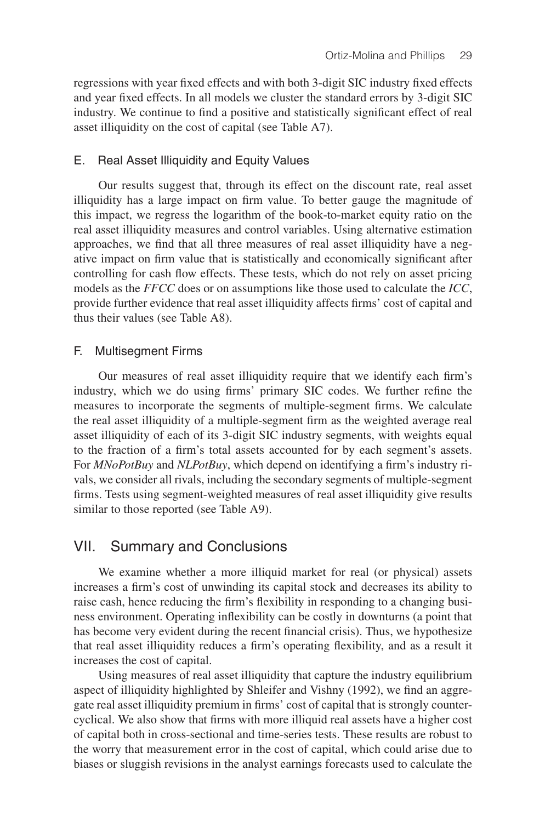regressions with year fixed effects and with both 3-digit SIC industry fixed effects and year fixed effects. In all models we cluster the standard errors by 3-digit SIC industry. We continue to find a positive and statistically significant effect of real asset illiquidity on the cost of capital (see Table A7).

## E. Real Asset Illiquidity and Equity Values

Our results suggest that, through its effect on the discount rate, real asset illiquidity has a large impact on firm value. To better gauge the magnitude of this impact, we regress the logarithm of the book-to-market equity ratio on the real asset illiquidity measures and control variables. Using alternative estimation approaches, we find that all three measures of real asset illiquidity have a negative impact on firm value that is statistically and economically significant after controlling for cash flow effects. These tests, which do not rely on asset pricing models as the *FFCC* does or on assumptions like those used to calculate the *ICC*, provide further evidence that real asset illiquidity affects firms' cost of capital and thus their values (see Table A8).

## F. Multisegment Firms

Our measures of real asset illiquidity require that we identify each firm's industry, which we do using firms' primary SIC codes. We further refine the measures to incorporate the segments of multiple-segment firms. We calculate the real asset illiquidity of a multiple-segment firm as the weighted average real asset illiquidity of each of its 3-digit SIC industry segments, with weights equal to the fraction of a firm's total assets accounted for by each segment's assets. For *MNoPotBuy* and *NLPotBuy*, which depend on identifying a firm's industry rivals, we consider all rivals, including the secondary segments of multiple-segment firms. Tests using segment-weighted measures of real asset illiquidity give results similar to those reported (see Table A9).

# VII. Summary and Conclusions

We examine whether a more illiquid market for real (or physical) assets increases a firm's cost of unwinding its capital stock and decreases its ability to raise cash, hence reducing the firm's flexibility in responding to a changing business environment. Operating inflexibility can be costly in downturns (a point that has become very evident during the recent financial crisis). Thus, we hypothesize that real asset illiquidity reduces a firm's operating flexibility, and as a result it increases the cost of capital.

Using measures of real asset illiquidity that capture the industry equilibrium aspect of illiquidity highlighted by Shleifer and Vishny (1992), we find an aggregate real asset illiquidity premium in firms' cost of capital that is strongly countercyclical. We also show that firms with more illiquid real assets have a higher cost of capital both in cross-sectional and time-series tests. These results are robust to the worry that measurement error in the cost of capital, which could arise due to biases or sluggish revisions in the analyst earnings forecasts used to calculate the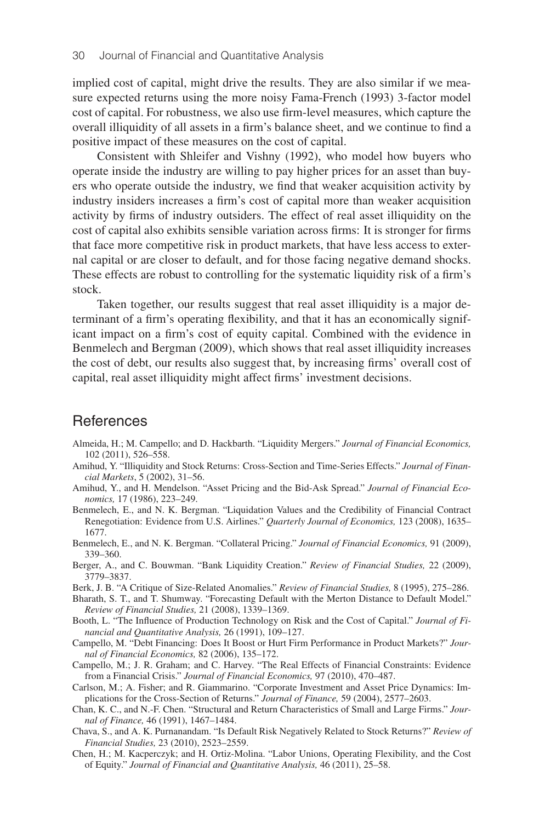implied cost of capital, might drive the results. They are also similar if we measure expected returns using the more noisy Fama-French (1993) 3-factor model cost of capital. For robustness, we also use firm-level measures, which capture the overall illiquidity of all assets in a firm's balance sheet, and we continue to find a positive impact of these measures on the cost of capital.

Consistent with Shleifer and Vishny (1992), who model how buyers who operate inside the industry are willing to pay higher prices for an asset than buyers who operate outside the industry, we find that weaker acquisition activity by industry insiders increases a firm's cost of capital more than weaker acquisition activity by firms of industry outsiders. The effect of real asset illiquidity on the cost of capital also exhibits sensible variation across firms: It is stronger for firms that face more competitive risk in product markets, that have less access to external capital or are closer to default, and for those facing negative demand shocks. These effects are robust to controlling for the systematic liquidity risk of a firm's stock.

Taken together, our results suggest that real asset illiquidity is a major determinant of a firm's operating flexibility, and that it has an economically significant impact on a firm's cost of equity capital. Combined with the evidence in Benmelech and Bergman (2009), which shows that real asset illiquidity increases the cost of debt, our results also suggest that, by increasing firms' overall cost of capital, real asset illiquidity might affect firms' investment decisions.

# **References**

- Almeida, H.; M. Campello; and D. Hackbarth. "Liquidity Mergers." *Journal of Financial Economics,* 102 (2011), 526–558.
- Amihud, Y. "Illiquidity and Stock Returns: Cross-Section and Time-Series Effects." *Journal of Financial Markets*, 5 (2002), 31–56.
- Amihud, Y., and H. Mendelson. "Asset Pricing and the Bid-Ask Spread." *Journal of Financial Economics,* 17 (1986), 223–249.
- Benmelech, E., and N. K. Bergman. "Liquidation Values and the Credibility of Financial Contract Renegotiation: Evidence from U.S. Airlines." *Quarterly Journal of Economics,* 123 (2008), 1635– 1677.
- Benmelech, E., and N. K. Bergman. "Collateral Pricing." *Journal of Financial Economics,* 91 (2009), 339–360.
- Berger, A., and C. Bouwman. "Bank Liquidity Creation." *Review of Financial Studies,* 22 (2009), 3779–3837.
- Berk, J. B. "A Critique of Size-Related Anomalies." *Review of Financial Studies,* 8 (1995), 275–286.
- Bharath, S. T., and T. Shumway. "Forecasting Default with the Merton Distance to Default Model." *Review of Financial Studies,* 21 (2008), 1339–1369.
- Booth, L. "The Influence of Production Technology on Risk and the Cost of Capital." *Journal of Financial and Quantitative Analysis,* 26 (1991), 109–127.
- Campello, M. "Debt Financing: Does It Boost or Hurt Firm Performance in Product Markets?" *Journal of Financial Economics,* 82 (2006), 135–172.
- Campello, M.; J. R. Graham; and C. Harvey. "The Real Effects of Financial Constraints: Evidence from a Financial Crisis." *Journal of Financial Economics,* 97 (2010), 470–487.
- Carlson, M.; A. Fisher; and R. Giammarino. "Corporate Investment and Asset Price Dynamics: Implications for the Cross-Section of Returns." *Journal of Finance,* 59 (2004), 2577–2603.
- Chan, K. C., and N.-F. Chen. "Structural and Return Characteristics of Small and Large Firms." *Journal of Finance,* 46 (1991), 1467–1484.
- Chava, S., and A. K. Purnanandam. "Is Default Risk Negatively Related to Stock Returns?" *Review of Financial Studies,* 23 (2010), 2523–2559.
- Chen, H.; M. Kacperczyk; and H. Ortiz-Molina. "Labor Unions, Operating Flexibility, and the Cost of Equity." *Journal of Financial and Quantitative Analysis,* 46 (2011), 25–58.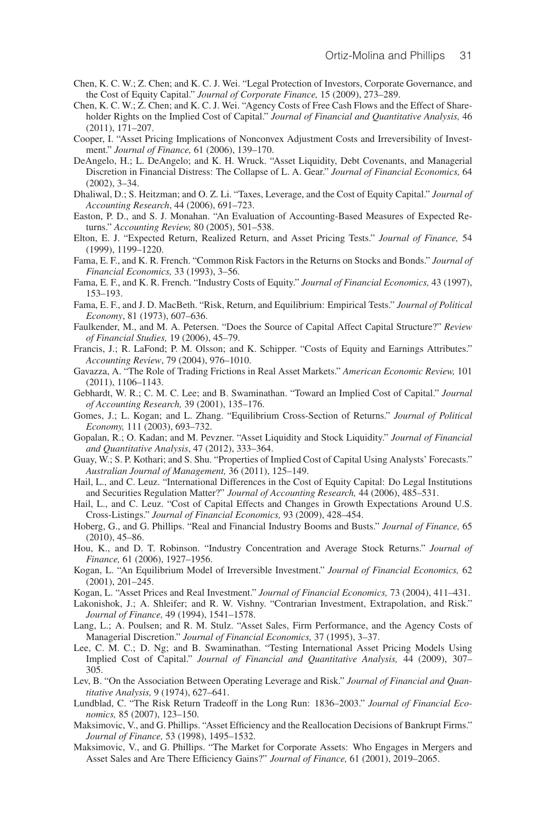- Chen, K. C. W.; Z. Chen; and K. C. J. Wei. "Legal Protection of Investors, Corporate Governance, and the Cost of Equity Capital." *Journal of Corporate Finance,* 15 (2009), 273–289.
- Chen, K. C. W.; Z. Chen; and K. C. J. Wei. "Agency Costs of Free Cash Flows and the Effect of Shareholder Rights on the Implied Cost of Capital." *Journal of Financial and Quantitative Analysis,* 46 (2011), 171–207.
- Cooper, I. "Asset Pricing Implications of Nonconvex Adjustment Costs and Irreversibility of Investment." *Journal of Finance,* 61 (2006), 139–170.
- DeAngelo, H.; L. DeAngelo; and K. H. Wruck. "Asset Liquidity, Debt Covenants, and Managerial Discretion in Financial Distress: The Collapse of L. A. Gear." *Journal of Financial Economics,* 64 (2002), 3–34.
- Dhaliwal, D.; S. Heitzman; and O. Z. Li. "Taxes, Leverage, and the Cost of Equity Capital." *Journal of Accounting Research*, 44 (2006), 691–723.
- Easton, P. D., and S. J. Monahan. "An Evaluation of Accounting-Based Measures of Expected Returns." *Accounting Review,* 80 (2005), 501–538.
- Elton, E. J. "Expected Return, Realized Return, and Asset Pricing Tests." *Journal of Finance,* 54 (1999), 1199–1220.
- Fama, E. F., and K. R. French. "Common Risk Factors in the Returns on Stocks and Bonds." *Journal of Financial Economics,* 33 (1993), 3–56.
- Fama, E. F., and K. R. French. "Industry Costs of Equity." *Journal of Financial Economics,* 43 (1997), 153–193.
- Fama, E. F., and J. D. MacBeth. "Risk, Return, and Equilibrium: Empirical Tests." *Journal of Political Economy*, 81 (1973), 607–636.
- Faulkender, M., and M. A. Petersen. "Does the Source of Capital Affect Capital Structure?" *Review of Financial Studies,* 19 (2006), 45–79.
- Francis, J.; R. LaFond; P. M. Olsson; and K. Schipper. "Costs of Equity and Earnings Attributes." *Accounting Review*, 79 (2004), 976–1010.
- Gavazza, A. "The Role of Trading Frictions in Real Asset Markets." *American Economic Review,* 101 (2011), 1106–1143.
- Gebhardt, W. R.; C. M. C. Lee; and B. Swaminathan. "Toward an Implied Cost of Capital." *Journal of Accounting Research,* 39 (2001), 135–176.
- Gomes, J.; L. Kogan; and L. Zhang. "Equilibrium Cross-Section of Returns." *Journal of Political Economy,* 111 (2003), 693–732.
- Gopalan, R.; O. Kadan; and M. Pevzner. "Asset Liquidity and Stock Liquidity." *Journal of Financial and Quantitative Analysis*, 47 (2012), 333–364.
- Guay, W.; S. P. Kothari; and S. Shu. "Properties of Implied Cost of Capital Using Analysts' Forecasts." *Australian Journal of Management,* 36 (2011), 125–149.
- Hail, L., and C. Leuz. "International Differences in the Cost of Equity Capital: Do Legal Institutions and Securities Regulation Matter?" *Journal of Accounting Research,* 44 (2006), 485–531.
- Hail, L., and C. Leuz. "Cost of Capital Effects and Changes in Growth Expectations Around U.S. Cross-Listings." *Journal of Financial Economics,* 93 (2009), 428–454.
- Hoberg, G., and G. Phillips. "Real and Financial Industry Booms and Busts." *Journal of Finance,* 65 (2010), 45–86.
- Hou, K., and D. T. Robinson. "Industry Concentration and Average Stock Returns." *Journal of Finance,* 61 (2006), 1927–1956.
- Kogan, L. "An Equilibrium Model of Irreversible Investment." *Journal of Financial Economics,* 62 (2001), 201–245.
- Kogan, L. "Asset Prices and Real Investment." *Journal of Financial Economics,* 73 (2004), 411–431.
- Lakonishok, J.; A. Shleifer; and R. W. Vishny. "Contrarian Investment, Extrapolation, and Risk." *Journal of Finance,* 49 (1994), 1541–1578.
- Lang, L.; A. Poulsen; and R. M. Stulz. "Asset Sales, Firm Performance, and the Agency Costs of Managerial Discretion." *Journal of Financial Economics,* 37 (1995), 3–37.
- Lee, C. M. C.; D. Ng; and B. Swaminathan. "Testing International Asset Pricing Models Using Implied Cost of Capital." *Journal of Financial and Quantitative Analysis,* 44 (2009), 307– 305.
- Lev, B. "On the Association Between Operating Leverage and Risk." *Journal of Financial and Quantitative Analysis,* 9 (1974), 627–641.
- Lundblad, C. "The Risk Return Tradeoff in the Long Run: 1836–2003." *Journal of Financial Economics,* 85 (2007), 123–150.
- Maksimovic, V., and G. Phillips. "Asset Efficiency and the Reallocation Decisions of Bankrupt Firms." *Journal of Finance,* 53 (1998), 1495–1532.
- Maksimovic, V., and G. Phillips. "The Market for Corporate Assets: Who Engages in Mergers and Asset Sales and Are There Efficiency Gains?" *Journal of Finance,* 61 (2001), 2019–2065.